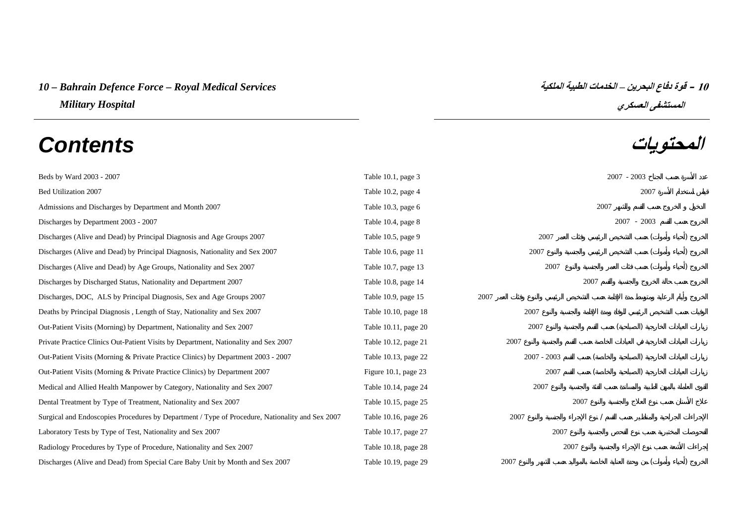### *10 – Bahrain Defence Force – Royal Medical Services*

 *Military Hospital* 

# **المحتويات** *Contents*

**10 – قوة دفاع البحرين – الخدمات الطبية الملكية**

**المستشفى العسكري**

| Beds by Ward 2003 - 2007                                                                        | Table 10.1, page 3   |               |      | $2007 - 2003$ |  |
|-------------------------------------------------------------------------------------------------|----------------------|---------------|------|---------------|--|
| Bed Utilization 2007                                                                            | Table 10.2, page 4   |               |      | 2007          |  |
| Admissions and Discharges by Department and Month 2007                                          | Table 10.3, page 6   |               | 2007 |               |  |
| Discharges by Department 2003 - 2007                                                            | Table 10.4, page 8   |               |      | $2007 - 2003$ |  |
| Discharges (Alive and Dead) by Principal Diagnosis and Age Groups 2007                          | Table 10.5, page 9   | 2007          |      |               |  |
| Discharges (Alive and Dead) by Principal Diagnosis, Nationality and Sex 2007                    | Table 10.6, page 11  | 2007          |      |               |  |
| Discharges (Alive and Dead) by Age Groups, Nationality and Sex 2007                             | Table 10.7, page 13  | 2007          |      |               |  |
| Discharges by Discharged Status, Nationality and Department 2007                                | Table 10.8, page 14  |               | 2007 |               |  |
| Discharges, DOC, ALS by Principal Diagnosis, Sex and Age Groups 2007                            | Table 10.9, page 15  | 2007          |      |               |  |
| Deaths by Principal Diagnosis, Length of Stay, Nationality and Sex 2007                         | Table 10.10, page 18 | 2007          |      |               |  |
| Out-Patient Visits (Morning) by Department, Nationality and Sex 2007                            | Table 10.11, page 20 | 2007          |      |               |  |
| Private Practice Clinics Out-Patient Visits by Department, Nationality and Sex 2007             | Table 10.12, page 21 | 2007          |      |               |  |
| Out-Patient Visits (Morning & Private Practice Clinics) by Department 2003 - 2007               | Table 10.13, page 22 | $2007 - 2003$ |      |               |  |
| Out-Patient Visits (Morning & Private Practice Clinics) by Department 2007                      | Figure 10.1, page 23 | 2007          |      |               |  |
| Medical and Allied Health Manpower by Category, Nationality and Sex 2007                        | Table 10.14, page 24 | 2007          |      |               |  |
| Dental Treatment by Type of Treatment, Nationality and Sex 2007                                 | Table 10.15, page 25 |               | 2007 |               |  |
| Surgical and Endoscopies Procedures by Department / Type of Procedure, Nationality and Sex 2007 | Table 10.16, page 26 | 2007          |      |               |  |
| Laboratory Tests by Type of Test, Nationality and Sex 2007                                      | Table 10.17, page 27 |               | 2007 |               |  |
| Radiology Procedures by Type of Procedure, Nationality and Sex 2007                             | Table 10.18, page 28 |               | 2007 |               |  |
| Discharges (Alive and Dead) from Special Care Baby Unit by Month and Sex 2007                   | Table 10.19, page 29 | 2007          |      |               |  |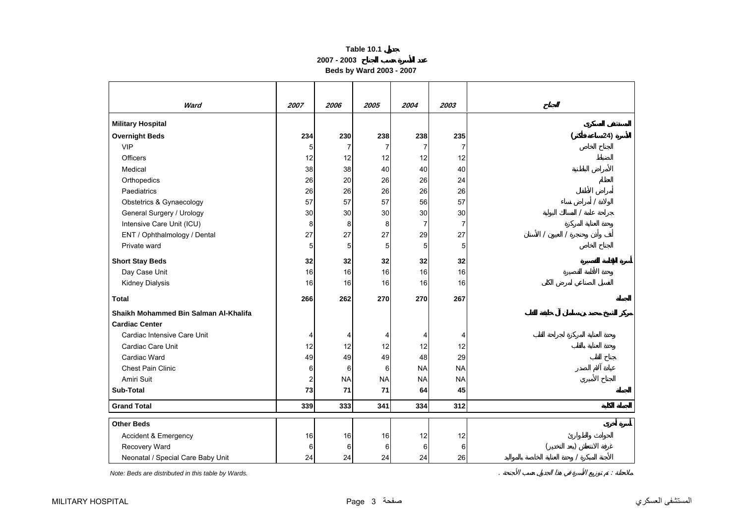**2007 - 2003**

**Beds by Ward 2003 - 2007** 

<span id="page-1-0"></span>

| Ward                                  | 2007 | 2006      | 2005      | 2004           | 2003           |     |
|---------------------------------------|------|-----------|-----------|----------------|----------------|-----|
| <b>Military Hospital</b>              |      |           |           |                |                |     |
| <b>Overnight Beds</b>                 | 234  | 230       | 238       | 238            | 235            | 24) |
| <b>VIP</b>                            | 5    | 7         | 7         | $\overline{7}$ | 7              |     |
| <b>Officers</b>                       | 12   | 12        | 12        | 12             | 12             |     |
| Medical                               | 38   | 38        | 40        | 40             | 40             |     |
| Orthopedics                           | 26   | 20        | 26        | 26             | 24             |     |
| Paediatrics                           | 26   | 26        | 26        | 26             | 26             |     |
| Obstetrics & Gynaecology              | 57   | 57        | 57        | 56             | 57             |     |
| General Surgery / Urology             | 30   | 30        | 30        | 30             | 30             |     |
| Intensive Care Unit (ICU)             | 8    | 8         | 8         | $\overline{7}$ | $\overline{7}$ |     |
| ENT / Ophthalmology / Dental          | 27   | 27        | 27        | 29             | 27             |     |
| Private ward                          | 5    | 5         | 5         | $\overline{5}$ | 5 <sub>5</sub> |     |
| <b>Short Stay Beds</b>                | 32   | 32        | 32        | 32             | 32             |     |
| Day Case Unit                         | 16   | 16        | 16        | 16             | 16             |     |
| <b>Kidney Dialysis</b>                | 16   | 16        | 16        | 16             | 16             |     |
| <b>Total</b>                          | 266  | 262       | 270       | 270            | 267            |     |
| Shaikh Mohammed Bin Salman Al-Khalifa |      |           |           |                |                |     |
| <b>Cardiac Center</b>                 |      |           |           |                |                |     |
| Cardiac Intensive Care Unit           |      | 4         | 4         | 4              | 4              |     |
| Cardiac Care Unit                     | 12   | 12        | 12        | 12             | 12             |     |
| Cardiac Ward                          | 49   | 49        | 49        | 48             | 29             |     |
| Chest Pain Clinic                     | 6    | 6         | 6         | <b>NA</b>      | <b>NA</b>      |     |
| Amiri Suit                            | 2    | <b>NA</b> | <b>NA</b> | <b>NA</b>      | <b>NA</b>      |     |
| Sub-Total                             | 73   | 71        | 71        | 64             | 45             |     |
| <b>Grand Total</b>                    | 339  | 333       | 341       | 334            | 312            |     |
| <b>Other Beds</b>                     |      |           |           |                |                |     |
| Accident & Emergency                  | 16   | 16        | 16        | 12             | 12             |     |
| Recovery Ward                         | 6    | 6         | 6         | 6              | $6 \,$         |     |
| Neonatal / Special Care Baby Unit     | 24   | 24        | 24        | 24             | 26             |     |

*Note: Beds are distributed in this table by Wards.* . :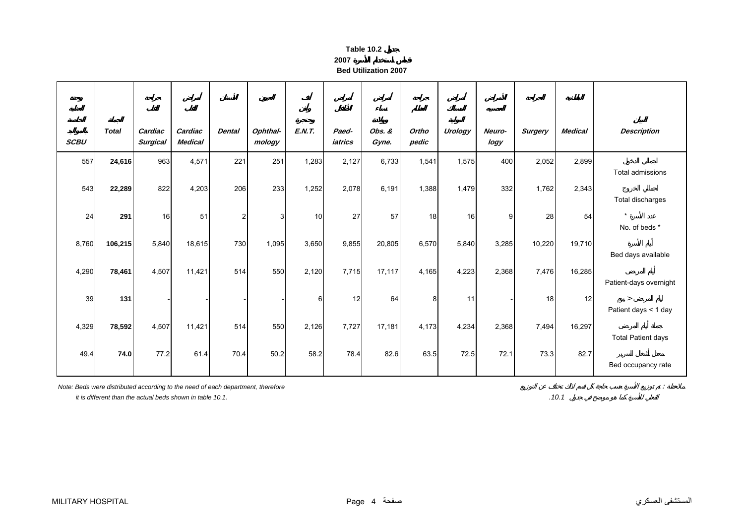| Table 10.2 |  |
|------------|--|

**2007**

**Bed Utilization 2007**

<span id="page-2-0"></span>

| <b>SCBU</b> | <b>Total</b> | Cardiac<br><b>Surgical</b> | Cardiac<br><b>Medical</b> | <b>Dental</b> | Ophthal-<br>mology | E.N.T.          | Paed-<br>iatrics | Obs. &<br>Gyne. | Ortho<br>pedic | Urology | Neuro-<br>logy | <b>Surgery</b> | <b>Medical</b> | <b>Description</b>                                       |
|-------------|--------------|----------------------------|---------------------------|---------------|--------------------|-----------------|------------------|-----------------|----------------|---------|----------------|----------------|----------------|----------------------------------------------------------|
| 557         | 24,616       | 963                        | 4,571                     | 221           | 251                | 1,283           | 2,127            | 6,733           | 1,541          | 1,575   | 400            | 2,052          | 2,899          | Total admissions                                         |
| 543         | 22,289       | 822                        | 4,203                     | 206           | 233                | 1,252           | 2,078            | 6,191           | 1,388          | 1,479   | 332            | 1,762          | 2,343          | Total discharges                                         |
| 24          | 291          | 16                         | 51                        | $\mathbf{2}$  | 3                  | 10 <sup>1</sup> | 27               | 57              | 18             | 16      | 9              | 28             | 54             | $\star$                                                  |
| 8,760       | 106,215      | 5,840                      | 18,615                    | 730           | 1,095              | 3,650           | 9,855            | 20,805          | 6,570          | 5,840   | 3,285          | 10,220         | 19,710         | No. of beds *<br>Bed days available                      |
| 4,290       | 78,461       | 4,507                      | 11,421                    | 514           | 550                | 2,120           | 7,715            | 17,117          | 4,165          | 4,223   | 2,368          | 7,476          | 16,285         |                                                          |
| 39          | 131          |                            |                           |               |                    | 6               | 12               | 64              | 8              | 11      |                | 18             | 12             | Patient-days overnight<br>$\geq$<br>Patient days < 1 day |
| 4,329       | 78,592       | 4,507                      | 11,421                    | 514           | 550                | 2,126           | 7,727            | 17,181          | 4,173          | 4,234   | 2,368          | 7,494          | 16,297         | <b>Total Patient days</b>                                |
| 49.4        | 74.0         | 77.2                       | 61.4                      | 70.4          | 50.2               | 58.2            | 78.4             | 82.6            | 63.5           | 72.5    | 72.1           | 73.3           | 82.7           | Bed occupancy rate                                       |

*Note: Beds were distributed according to the need of each department, therefore* :

 *it is different than the actual beds shown in table 10.1.*

*.10.1*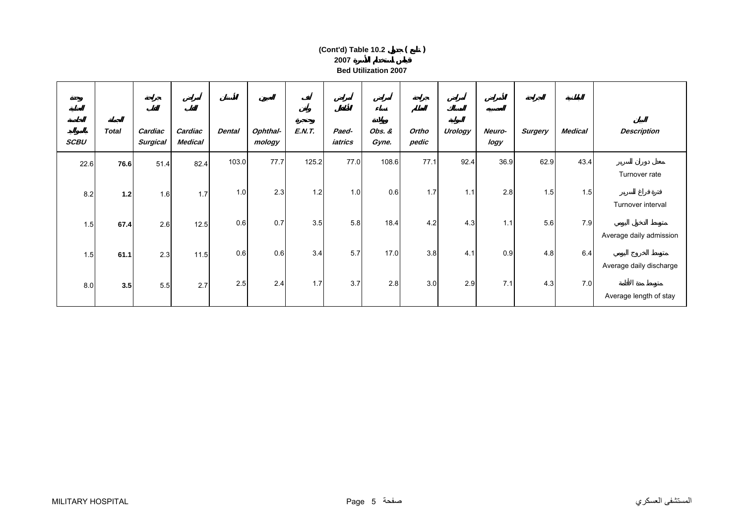### **2007 Bed Utilization 2007(Cont'd) Table 10.2 ( )**

| <b>SCBU</b> | <b>Total</b> | Cardiac<br><b>Surgical</b> | Cardiac<br><b>Medical</b> | <b>Dental</b> | Ophthal-<br>mology | <b>E.N.T.</b> | Paed-<br>iatrics | Obs. &<br>Gyne. | Ortho<br>pedic | Urology | Neuro-<br>logy | Surgery | <b>Medical</b> | <b>Description</b>      |
|-------------|--------------|----------------------------|---------------------------|---------------|--------------------|---------------|------------------|-----------------|----------------|---------|----------------|---------|----------------|-------------------------|
| 22.6        | 76.6         | 51.4                       | 82.4                      | 103.0         | 77.7               | 125.2         | 77.0             | 108.6           | 77.1           | 92.4    | 36.9           | 62.9    | 43.4           |                         |
|             |              |                            |                           |               |                    |               |                  |                 |                |         |                |         |                | Turnover rate           |
| 8.2         | 1.2          | 1.6                        | 1.7                       | 1.0           | 2.3                | 1.2           | 1.0              | 0.6             | 1.7            | 1.1     | 2.8            | 1.5     | 1.5            |                         |
|             |              |                            |                           |               |                    |               |                  |                 |                |         |                |         |                | Turnover interval       |
| 1.5         | 67.4         | 2.6                        | 12.5                      | 0.6           | 0.7                | 3.5           | 5.8              | 18.4            | 4.2            | 4.3     | 1.1            | 5.6     | 7.9            |                         |
|             |              |                            |                           |               |                    |               |                  |                 |                |         |                |         |                | Average daily admission |
| 1.5         | 61.1         | 2.3                        | 11.5                      | 0.6           | 0.6                | 3.4           | 5.7              | 17.0            | 3.8            | 4.1     | 0.9            | 4.8     | 6.4            |                         |
|             |              |                            |                           |               |                    |               |                  |                 |                |         |                |         |                | Average daily discharge |
| 8.0         | 3.5          | 5.5                        | 2.7                       | 2.5           | 2.4                | 1.7           | 3.7              | 2.8             | 3.0            | 2.9     | 7.1            | 4.3     | 7.0            | Average length of stay  |
|             |              |                            |                           |               |                    |               |                  |                 |                |         |                |         |                |                         |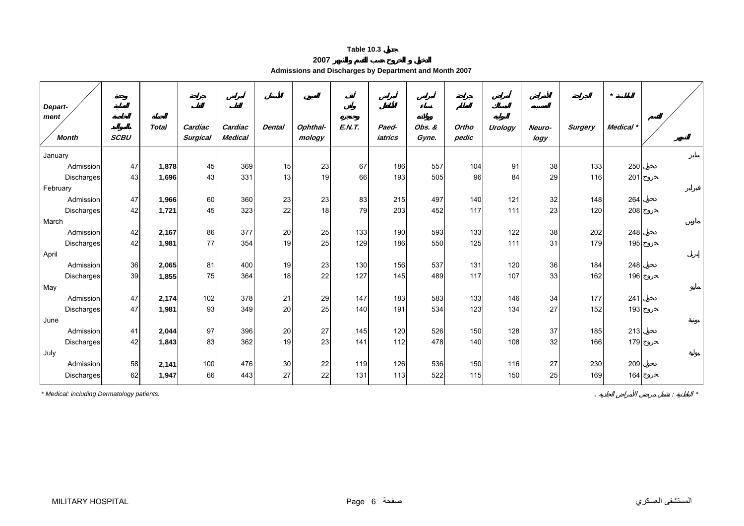**2007**

| Admissions and Discharges by Department and Month 2007 |
|--------------------------------------------------------|
|--------------------------------------------------------|

<span id="page-4-0"></span>

| Depart-<br>ment   |             |              |                     |                           |               |                    |               |                  |                 |                |         |                |                | $\star$              |  |
|-------------------|-------------|--------------|---------------------|---------------------------|---------------|--------------------|---------------|------------------|-----------------|----------------|---------|----------------|----------------|----------------------|--|
| <b>Month</b>      | <b>SCBU</b> | <b>Total</b> | Cardiac<br>Surgical | Cardiac<br><b>Medical</b> | <b>Dental</b> | Ophthal-<br>mology | <b>E.N.T.</b> | Paed-<br>iatrics | Obs. &<br>Gyne. | Ortho<br>pedic | Urology | Neuro-<br>logy | <b>Surgery</b> | Medical <sup>*</sup> |  |
| January           |             |              |                     |                           |               |                    |               |                  |                 |                |         |                |                |                      |  |
| Admission         | 47          | 1,878        | 45                  | 369                       | 15            | 23                 | 67            | 186              | 557             | 104            | 91      | 38             | 133            | 250                  |  |
| <b>Discharges</b> | 43          | 1,696        | 43                  | 331                       | 13            | 19                 | 66            | 193              | 505             | 96             | 84      | 29             | 116            | 201                  |  |
| February          |             |              |                     |                           |               |                    |               |                  |                 |                |         |                |                |                      |  |
| Admission         | 47          | 1,966        | 60                  | 360                       | 23            | 23                 | 83            | 215              | 497             | 140            | 121     | 32             | 148            | 264                  |  |
| Discharges        | 42          | 1,721        | 45                  | 323                       | 22            | 18                 | 79            | 203              | 452             | 117            | 111     | 23             | 120            | 208                  |  |
| March             |             |              |                     |                           |               |                    |               |                  |                 |                |         |                |                |                      |  |
| Admission         | 42          | 2,167        | 86                  | 377                       | 20            | 25                 | 133           | 190              | 593             | 133            | 122     | 38             | 202            | 248                  |  |
| Discharges        | 42          | 1,981        | 77                  | 354                       | 19            | 25                 | 129           | 186              | 550             | 125            | 111     | 31             | 179            | 195                  |  |
| April             |             |              |                     |                           |               |                    |               |                  |                 |                |         |                |                |                      |  |
| Admission         | 36          | 2,065        | 81                  | 400                       | 19            | 23                 | 130           | 156              | 537             | 131            | 120     | 36             | 184            | 248                  |  |
| Discharges        | 39          | 1,855        | 75                  | 364                       | 18            | 22                 | 127           | 145              | 489             | 117            | 107     | 33             | 162            | 196                  |  |
| May               |             |              |                     |                           |               |                    |               |                  |                 |                |         |                |                |                      |  |
| Admission         | 47          | 2,174        | 102                 | 378                       | 21            | 29                 | 147           | 183              | 583             | 133            | 146     | 34             | 177            | 241                  |  |
| <b>Discharges</b> | 47          | 1,981        | 93                  | 349                       | 20            | 25                 | 140           | 191              | 534             | 123            | 134     | 27             | 152            | 193                  |  |
| June              |             |              |                     |                           |               |                    |               |                  |                 |                |         |                |                |                      |  |
| Admission         | 41          | 2,044        | 97                  | 396                       | 20            | 27                 | 145           | 120              | 526             | 150            | 128     | 37             | 185            | 213                  |  |
| Discharges        | 42          | 1,843        | 83                  | 362                       | 19            | 23                 | 141           | 112              | 478             | 140            | 108     | 32             | 166            | 179                  |  |
| July              |             |              |                     |                           |               |                    |               |                  |                 |                |         |                |                |                      |  |
| Admission         | 58          | 2,141        | 100                 | 476                       | 30            | 22                 | 119           | 126              | 536             | 150            | 116     | 27             | 230            | 209                  |  |
| Discharges        | 62          | 1,947        | 66                  | 443                       | 27            | 22                 | 131           | 113              | 522             | 115            | 150     | 25             | 169            | 164                  |  |

*\* Medical: including Dermatology patients.* . : *\**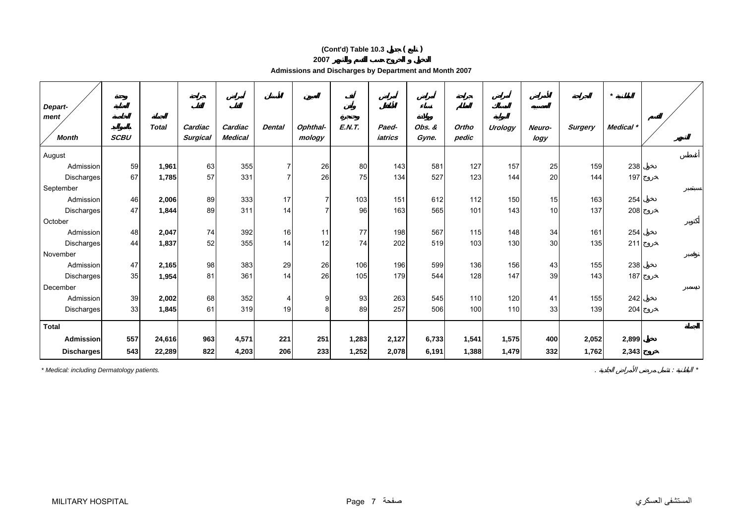### **(Cont'd) Table 10.3 ( )**

**2007**

**Admissions and Discharges by Department and Month 2007** 

| Depart-              |             |              |                            |                           |               |                    |               |                  |                 |                |         |                |                | $\star$   |  |
|----------------------|-------------|--------------|----------------------------|---------------------------|---------------|--------------------|---------------|------------------|-----------------|----------------|---------|----------------|----------------|-----------|--|
| ment<br><b>Month</b> | <b>SCBU</b> | <b>Total</b> | Cardiac<br><b>Surgical</b> | Cardiac<br><b>Medical</b> | <b>Dental</b> | Ophthal-<br>mology | <b>E.N.T.</b> | Paed-<br>iatrics | Obs. &<br>Gyne. | Ortho<br>pedic | Urology | Neuro-<br>logy | <b>Surgery</b> | Medical * |  |
| August               |             |              |                            |                           |               |                    |               |                  |                 |                |         |                |                |           |  |
| Admission            | 59          | 1,961        | 63                         | 355                       | 7             | 26                 | 80            | 143              | 581             | 127            | 157     | 25             | 159            | 238       |  |
| Discharges           | 67          | 1,785        | 57                         | 331                       | 7             | 26                 | 75            | 134              | 527             | 123            | 144     | 20             | 144            | 197       |  |
| September            |             |              |                            |                           |               |                    |               |                  |                 |                |         |                |                |           |  |
| Admission            | 46          | 2,006        | 89                         | 333                       | 17            | 7                  | 103           | 151              | 612             | 112            | 150     | 15             | 163            | 254       |  |
| Discharges           | 47          | 1,844        | 89                         | 311                       | 14            | 7                  | 96            | 163              | 565             | 101            | 143     | 10             | 137            | 208       |  |
| October              |             |              |                            |                           |               |                    |               |                  |                 |                |         |                |                |           |  |
| Admission            | 48          | 2,047        | 74                         | 392                       | 16            | 11                 | 77            | 198              | 567             | 115            | 148     | 34             | 161            | 254       |  |
| Discharges           | 44          | 1,837        | 52                         | 355                       | 14            | 12                 | 74            | 202              | 519             | 103            | 130     | 30             | 135            | 211       |  |
| November             |             |              |                            |                           |               |                    |               |                  |                 |                |         |                |                |           |  |
| Admission            | 47          | 2,165        | 98                         | 383                       | 29            | 26                 | 106           | 196              | 599             | 136            | 156     | 43             | 155            | 238       |  |
| Discharges           | 35          | 1,954        | 81                         | 361                       | 14            | 26                 | 105           | 179              | 544             | 128            | 147     | 39             | 143            | 187       |  |
| December             |             |              |                            |                           |               |                    |               |                  |                 |                |         |                |                |           |  |
| Admission            | 39          | 2,002        | 68                         | 352                       | 4             | 9                  | 93            | 263              | 545             | 110            | 120     | 41             | 155            | 242       |  |
| <b>Discharges</b>    | 33          | 1,845        | 61                         | 319                       | 19            | 8                  | 89            | 257              | 506             | 100            | 110     | 33             | 139            | 204       |  |
| <b>Total</b>         |             |              |                            |                           |               |                    |               |                  |                 |                |         |                |                |           |  |
| Admission            | 557         | 24,616       | 963                        | 4,571                     | 221           | 251                | 1,283         | 2,127            | 6,733           | 1,541          | 1,575   | 400            | 2,052          | 2,899     |  |
| <b>Discharges</b>    | 543         | 22,289       | 822                        | 4,203                     | 206           | 233                | 1,252         | 2,078            | 6,191           | 1,388          | 1,479   | 332            | 1,762          | 2,343     |  |

*\* Medical: including Dermatology patients.* . : *\**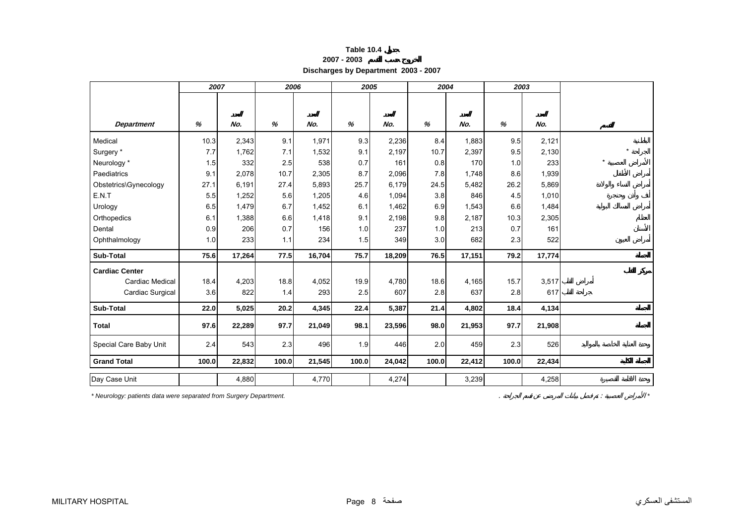<span id="page-6-0"></span>

|                        | 2007  |        | 2006  |        | 2005  |        | 2004  |        | 2003  |        |
|------------------------|-------|--------|-------|--------|-------|--------|-------|--------|-------|--------|
| <b>Department</b>      | %     | No.    | %     | No.    | %     | No.    | %     | No.    | %     | No.    |
|                        |       |        |       |        |       |        |       |        |       |        |
| Medical                | 10.3  | 2,343  | 9.1   | 1,971  | 9.3   | 2,236  | 8.4   | 1,883  | 9.5   | 2,121  |
| Surgery *              | 7.7   | 1,762  | 7.1   | 1,532  | 9.1   | 2,197  | 10.7  | 2,397  | 9.5   | 2,130  |
| Neurology *            | 1.5   | 332    | 2.5   | 538    | 0.7   | 161    | 0.8   | 170    | 1.0   | 233    |
| Paediatrics            | 9.1   | 2,078  | 10.7  | 2,305  | 8.7   | 2,096  | 7.8   | 1,748  | 8.6   | 1,939  |
| Obstetrics\Gynecology  | 27.1  | 6,191  | 27.4  | 5,893  | 25.7  | 6,179  | 24.5  | 5,482  | 26.2  | 5,869  |
| E.N.T                  | 5.5   | 1,252  | 5.6   | 1,205  | 4.6   | 1,094  | 3.8   | 846    | 4.5   | 1,010  |
| Urology                | 6.5   | 1,479  | 6.7   | 1,452  | 6.1   | 1,462  | 6.9   | 1,543  | 6.6   | 1,484  |
| Orthopedics            | 6.1   | 1,388  | 6.6   | 1,418  | 9.1   | 2,198  | 9.8   | 2,187  | 10.3  | 2,305  |
| Dental                 | 0.9   | 206    | 0.7   | 156    | 1.0   | 237    | 1.0   | 213    | 0.7   | 161    |
| Ophthalmology          | 1.0   | 233    | 1.1   | 234    | 1.5   | 349    | 3.0   | 682    | 2.3   | 522    |
| Sub-Total              | 75.6  | 17,264 | 77.5  | 16,704 | 75.7  | 18,209 | 76.5  | 17,151 | 79.2  | 17,774 |
| <b>Cardiac Center</b>  |       |        |       |        |       |        |       |        |       |        |
| Cardiac Medical        | 18.4  | 4,203  | 18.8  | 4,052  | 19.9  | 4,780  | 18.6  | 4,165  | 15.7  | 3,517  |
| Cardiac Surgical       | 3.6   | 822    | 1.4   | 293    | 2.5   | 607    | 2.8   | 637    | 2.8   | 617    |
| Sub-Total              | 22.0  | 5,025  | 20.2  | 4,345  | 22.4  | 5,387  | 21.4  | 4,802  | 18.4  | 4,134  |
| <b>Total</b>           | 97.6  | 22,289 | 97.7  | 21,049 | 98.1  | 23,596 | 98.0  | 21,953 | 97.7  | 21,908 |
| Special Care Baby Unit | 2.4   | 543    | 2.3   | 496    | 1.9   | 446    | 2.0   | 459    | 2.3   | 526    |
| <b>Grand Total</b>     | 100.0 | 22,832 | 100.0 | 21,545 | 100.0 | 24,042 | 100.0 | 22,412 | 100.0 | 22,434 |
| Day Case Unit          |       | 4,880  |       | 4,770  |       | 4,274  |       | 3,239  |       | 4,258  |

### **Table 10.4 2007 - 2003 Discharges by Department 2003 - 2007**

*\* Neurology: patients data were separated from Surgery Department.* . : *\**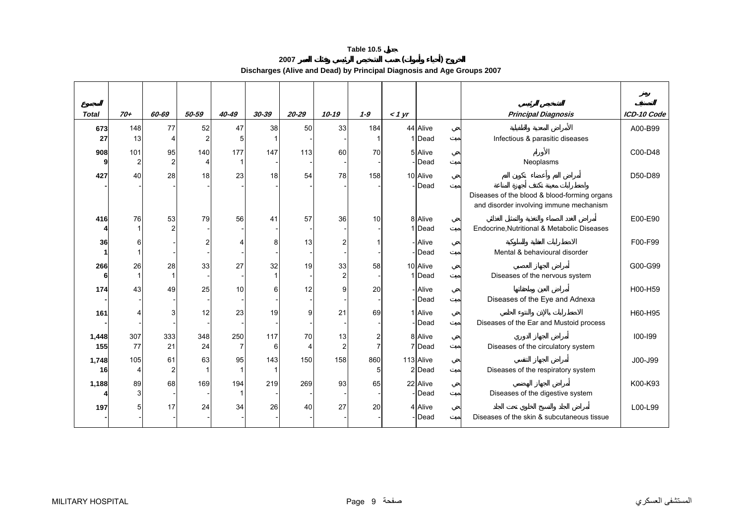**2007 ( ) Discharges (Alive and Dead) by Principal Diagnosis and Age Groups 2007** 

<span id="page-7-0"></span>

| <b>Total</b> | $70+$                 | 60-69                | 50-59     | $40 - 49$             | $30 - 39$ | $20 - 29$ | $10 - 19$            | $1 - 9$             | $<$ 1 yr |                            | <b>Principal Diagnosis</b>                                                              | ICD-10 Code |
|--------------|-----------------------|----------------------|-----------|-----------------------|-----------|-----------|----------------------|---------------------|----------|----------------------------|-----------------------------------------------------------------------------------------|-------------|
| 673          | 148                   | 77                   | 52        | 47                    | 38        | 50        | 33                   | 184                 |          | 44 Alive                   |                                                                                         | A00-B99     |
| 27           | 13                    |                      |           | 5                     |           |           |                      |                     |          | 1 Dead                     | Infectious & parasitic diseases                                                         |             |
| 908<br>9     | 101<br>$\overline{c}$ | 95<br>$\overline{2}$ | 140       | 177                   | 147       | 113       | 60                   | 70                  |          | 5 Alive<br>- <b>Dead</b>   | Neoplasms                                                                               | C00-D48     |
|              |                       |                      |           |                       |           |           |                      |                     |          |                            |                                                                                         |             |
| 427          | 40                    | 28                   | 18        | 23                    | 18        | 54        | 78                   | 158                 |          | 10 Alive<br>- Dead         |                                                                                         | D50-D89     |
|              |                       |                      |           |                       |           |           |                      |                     |          |                            | Diseases of the blood & blood-forming organs<br>and disorder involving immune mechanism |             |
| 416          | 76                    | 53                   | 79        | 56                    | 41        | 57        | 36                   | 10                  |          | 8 Alive<br>1 Dead          | Endocrine, Nutritional & Metabolic Diseases                                             | E00-E90     |
| 36           | 6                     |                      |           |                       |           | 13        |                      |                     |          | - Alive<br>- Dead          | Mental & behavioural disorder                                                           | F00-F99     |
| 266          | 26                    | 28<br>1              | 33        | 27                    | 32        | 19        | 33<br>$\overline{2}$ | 58                  |          | 10 Alive<br>1 Dead         | Diseases of the nervous system                                                          | G00-G99     |
| 174          | 43                    | 49                   | 25        | 10                    | 6         | 12        |                      | 20                  |          | - Alive<br>- Dead          | Diseases of the Eye and Adnexa                                                          | H00-H59     |
| 161          |                       | 3                    | 12        | 23                    | 19        | g         | 21                   | 69                  |          | 1 Alive<br>- Dead          | Diseases of the Ear and Mustoid process                                                 | H60-H95     |
| 1,448<br>155 | 307<br>77             | 333<br>21            | 348<br>24 | 250<br>$\overline{7}$ | 117<br>6  | 70        | 13<br>$\overline{2}$ | 2<br>$\overline{7}$ |          | 8 Alive<br>7 Dead          | Diseases of the circulatory system                                                      | $100 - 199$ |
| 1,748<br>16  | 105<br>4              | 61<br>$\overline{2}$ | 63        | 95                    | 143       | 150       | 158                  | 860<br>5            |          | 113 Alive<br>2 Dead        | Diseases of the respiratory system                                                      | J00-J99     |
| 1,188        | 89                    | 68                   | 169       | 194                   | 219       | 269       | 93                   | 65                  |          | 22 Alive<br>-Dead          | Diseases of the digestive system                                                        | K00-K93     |
| 197          | 5                     | 17                   | 24        | 34                    | 26        | 40        | 27                   | 20                  |          | 4 Alive<br>- <b>I</b> Dead | Diseases of the skin & subcutaneous tissue                                              | L00-L99     |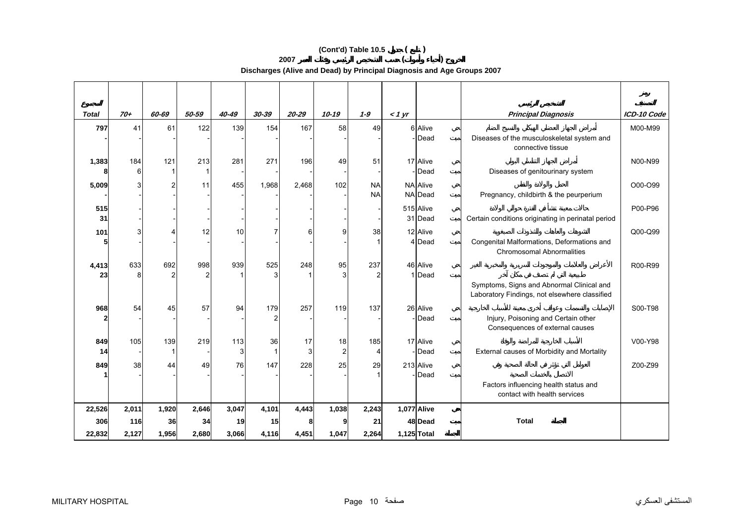### **(Cont'd) Table 10.5 ( )**

**2007 ( )** 

**Discharges (Alive and Dead) by Principal Diagnosis and Age Groups 2007** 

| <b>Total</b> | $70+$         | 60-69          | 50-59 | 40-49    | 30-39 | $20 - 29$ | 10-19   | $1 - 9$                | $<$ 1 yr |                            | <b>Principal Diagnosis</b>                                                                 | ICD-10 Code |
|--------------|---------------|----------------|-------|----------|-------|-----------|---------|------------------------|----------|----------------------------|--------------------------------------------------------------------------------------------|-------------|
| 797          | 41            | 61             | 122   | 139      | 154   | 167       | 58      | 49                     |          | 6 Alive<br>-Dead           | Diseases of the musculoskeletal system and<br>connective tissue                            | M00-M99     |
| 1,383        | 184<br>$6 \,$ | 121            | 213   | 281      | 271   | 196       | 49      | 51                     |          | 17 Alive<br>- Dead         | Diseases of genitourinary system                                                           | N00-N99     |
| 5,009        |               | $\overline{2}$ | 11    | 455      | 1,968 | 2,468     | 102     | <b>NA</b><br><b>NA</b> |          | <b>NA Alive</b><br>NA Dead | Pregnancy, childbirth & the peurperium                                                     | O00-O99     |
| 515<br>31    |               |                |       |          |       |           |         |                        |          | 515 Alive<br>31 Dead       | Certain conditions originating in perinatal period                                         | P00-P96     |
| 101<br>5     | 31            | 4              | 12    | 10       |       | Բ         |         | 38                     |          | 12 Alive<br>4 Dead         | Congenital Malformations, Deformations and<br><b>Chromosomal Abnormalities</b>             | Q00-Q99     |
| 4,413<br>23  | 633<br>8      | 692            | 998   | 939      | 525   | 248       | 95<br>3 | 237<br>$\overline{2}$  |          | 46 Alive<br>1 Dead         | Symptoms, Signs and Abnormal Clinical and<br>Laboratory Findings, not elsewhere classified | R00-R99     |
| 968          | 54            | 45             | 57    | 94       | 179   | 257       | 119     | 137                    |          | 26 Alive<br>-Dead          | Injury, Poisoning and Certain other<br>Consequences of external causes                     | S00-T98     |
| 849<br>14    | 105           | 139            | 219   | 113<br>3 | 36    | 17<br>3   | 18<br>2 | 185<br>4               |          | 17 Alive<br>-Dead          | External causes of Morbidity and Mortality                                                 | V00-Y98     |
| 849          | 38            | 44             | 49    | 76       | 147   | 228       | 25      | 29                     |          | 213 Alive<br>- Dead        |                                                                                            | Z00-Z99     |
|              |               |                |       |          |       |           |         |                        |          |                            | Factors influencing health status and<br>contact with health services                      |             |
| 22,526       | 2,011         | 1,920          | 2,646 | 3,047    | 4,101 | 4,443     | 1,038   | 2,243                  |          | 1,077 Alive                |                                                                                            |             |
| 306          | 116           | 36             | 34    | 19       | 15    |           |         | 21                     |          | 48 Dead                    | <b>Total</b>                                                                               |             |
| 22,832       | 2,127         | 1,956          | 2,680 | 3,066    | 4,116 | 4,451     | 1,047   | 2,264                  |          | 1,125 Total                |                                                                                            |             |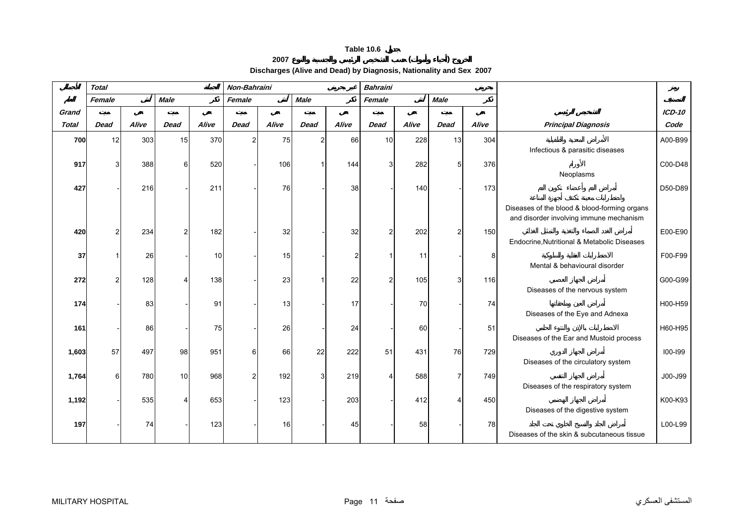### **2007 ( )**

**Discharges (Alive and Dead) by Diagnosis, Nationality and Sex 2007** 

<span id="page-9-0"></span>

|              | <b>Total</b> |       |                 |       | Non-Bahraini   |       |                |       | <b>Bahraini</b> |       |                |       |                                                                                         |          |
|--------------|--------------|-------|-----------------|-------|----------------|-------|----------------|-------|-----------------|-------|----------------|-------|-----------------------------------------------------------------------------------------|----------|
|              | Female       |       | <b>Male</b>     |       | Female         |       | <b>Male</b>    |       | Female          |       | <b>Male</b>    |       |                                                                                         |          |
| Grand        |              |       |                 |       |                |       |                |       |                 |       |                |       |                                                                                         | $ICD-10$ |
| <b>Total</b> | <b>Dead</b>  | Alive | <b>Dead</b>     | Alive | <b>Dead</b>    | Alive | <b>Dead</b>    | Alive | <b>Dead</b>     | Alive | <b>Dead</b>    | Alive | <b>Principal Diagnosis</b>                                                              | Code     |
| 700          | 12           | 303   | 15              | 370   | $\overline{2}$ | 75    | $\overline{2}$ | 66    | 10              | 228   | 13             | 304   | Infectious & parasitic diseases                                                         | A00-B99  |
| 917          |              | 388   | 6               | 520   |                | 106   |                | 144   | 3               | 282   | 5              | 376   | Neoplasms                                                                               | C00-D48  |
| 427          |              | 216   |                 | 211   |                | 76    |                | 38    |                 | 140   |                | 173   |                                                                                         | D50-D89  |
|              |              |       |                 |       |                |       |                |       |                 |       |                |       | Diseases of the blood & blood-forming organs<br>and disorder involving immune mechanism |          |
| 420          |              | 234   |                 | 182   |                | 32    |                | 32    | 2               | 202   | $\overline{2}$ | 150   | Endocrine, Nutritional & Metabolic Diseases                                             | E00-E90  |
| 37           |              | 26    |                 | 10    |                | 15    |                | 2     |                 | 11    |                | 8     | Mental & behavioural disorder                                                           | F00-F99  |
| 272          |              | 128   |                 | 138   |                | 23    |                | 22    | 2               | 105   | 3              | 116   | Diseases of the nervous system                                                          | G00-G99  |
| 174          |              | 83    |                 | 91    |                | 13    |                | 17    |                 | 70    |                | 74    | Diseases of the Eye and Adnexa                                                          | H00-H59  |
| 161          |              | 86    |                 | 75    |                | 26    |                | 24    |                 | 60    |                | 51    |                                                                                         | H60-H95  |
| 1,603        | 57           | 497   | 98              | 951   | 6              | 66    | 22             | 222   | 51              | 431   | 76             | 729   | Diseases of the Ear and Mustoid process<br>Diseases of the circulatory system           | 100-199  |
| 1,764        | 6            | 780   | 10 <sup>1</sup> | 968   | $\overline{2}$ | 192   | 3              | 219   | 4               | 588   | $\overline{7}$ | 749   | Diseases of the respiratory system                                                      | J00-J99  |
| 1,192        |              | 535   |                 | 653   |                | 123   |                | 203   |                 | 412   | Δ              | 450   | Diseases of the digestive system                                                        | K00-K93  |
| 197          |              | 74    |                 | 123   |                | 16    |                | 45    |                 | 58    |                | 78    | Diseases of the skin & subcutaneous tissue                                              | L00-L99  |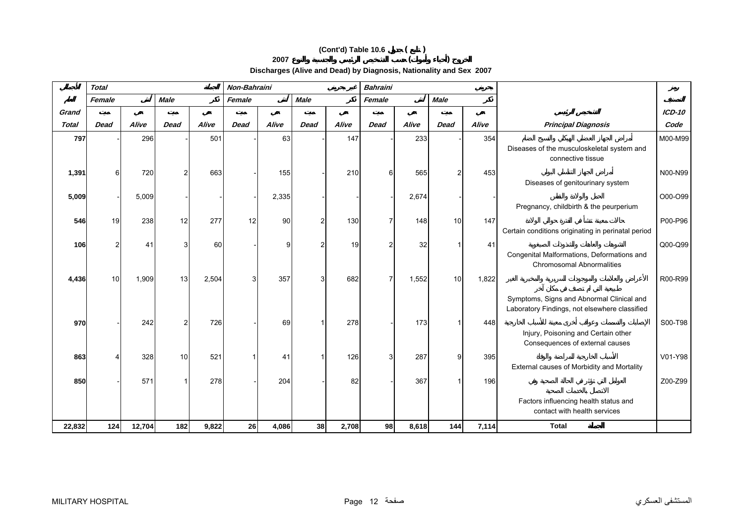### **(Cont'd) Table 10.6 ( ) 2007 ( )**

**Discharges (Alive and Dead) by Diagnosis, Nationality and Sex 2007** 

|              | <b>Total</b> |        |             |       | Non-Bahraini |       |                |       | <b>Bahraini</b> |       |             |       |                                                                                |          |
|--------------|--------------|--------|-------------|-------|--------------|-------|----------------|-------|-----------------|-------|-------------|-------|--------------------------------------------------------------------------------|----------|
|              | Female       |        | <b>Male</b> |       | Female       |       | <b>Male</b>    |       | Female          |       | <b>Male</b> |       |                                                                                |          |
| Grand        |              |        |             |       |              |       |                |       |                 |       |             |       |                                                                                | $ICD-10$ |
| <b>Total</b> | <b>Dead</b>  | Alive  | <b>Dead</b> | Alive | <b>Dead</b>  | Alive | <b>Dead</b>    | Alive | <b>Dead</b>     | Alive | <b>Dead</b> | Alive | <b>Principal Diagnosis</b>                                                     | Code     |
| 797          |              | 296    |             | 501   |              | 63    |                | 147   |                 | 233   |             | 354   |                                                                                | M00-M99  |
|              |              |        |             |       |              |       |                |       |                 |       |             |       | Diseases of the musculoskeletal system and<br>connective tissue                |          |
| 1,391        | ิ ค          | 720    |             | 663   |              | 155   |                | 210   | 6               | 565   | 2           | 453   |                                                                                | N00-N99  |
|              |              |        |             |       |              |       |                |       |                 |       |             |       | Diseases of genitourinary system                                               |          |
| 5,009        |              | 5,009  |             |       |              | 2,335 |                |       |                 | 2,674 |             |       | Pregnancy, childbirth & the peurperium                                         | O00-O99  |
| 546          | 19           | 238    | 12          | 277   | 12           | 90    | 2              | 130   |                 | 148   | 10          | 147   |                                                                                | P00-P96  |
|              |              |        |             |       |              |       |                |       |                 |       |             |       | Certain conditions originating in perinatal period                             |          |
| 106          |              | 41     |             | 60    |              | a     | $\overline{2}$ | 19    | 2               | 32    |             | 41    |                                                                                | Q00-Q99  |
|              |              |        |             |       |              |       |                |       |                 |       |             |       | Congenital Malformations, Deformations and<br><b>Chromosomal Abnormalities</b> |          |
| 4,436        | 10           | 1,909  | 13          | 2,504 | 3            | 357   | 3              | 682   |                 | 1,552 | 10          | 1,822 |                                                                                | R00-R99  |
|              |              |        |             |       |              |       |                |       |                 |       |             |       | Symptoms, Signs and Abnormal Clinical and                                      |          |
|              |              |        |             |       |              |       |                |       |                 |       |             |       | Laboratory Findings, not elsewhere classified                                  |          |
| 970          |              | 242    |             | 726   |              | 69    |                | 278   |                 | 173   |             | 448   | Injury, Poisoning and Certain other                                            | S00-T98  |
|              |              |        |             |       |              |       |                |       |                 |       |             |       | Consequences of external causes                                                |          |
| 863          |              | 328    | 10          | 521   |              | 41    |                | 126   | 3               | 287   | 9           | 395   |                                                                                | V01-Y98  |
|              |              |        |             |       |              |       |                |       |                 |       |             |       | External causes of Morbidity and Mortality                                     |          |
| 850          |              | 571    |             | 278   |              | 204   |                | 82    |                 | 367   |             | 196   |                                                                                | Z00-Z99  |
|              |              |        |             |       |              |       |                |       |                 |       |             |       | Factors influencing health status and<br>contact with health services          |          |
| 22,832       | 124          | 12,704 | 182         | 9,822 | <b>26</b>    | 4,086 | 38             | 2,708 | 98              | 8,618 | 144         | 7,114 | <b>Total</b>                                                                   |          |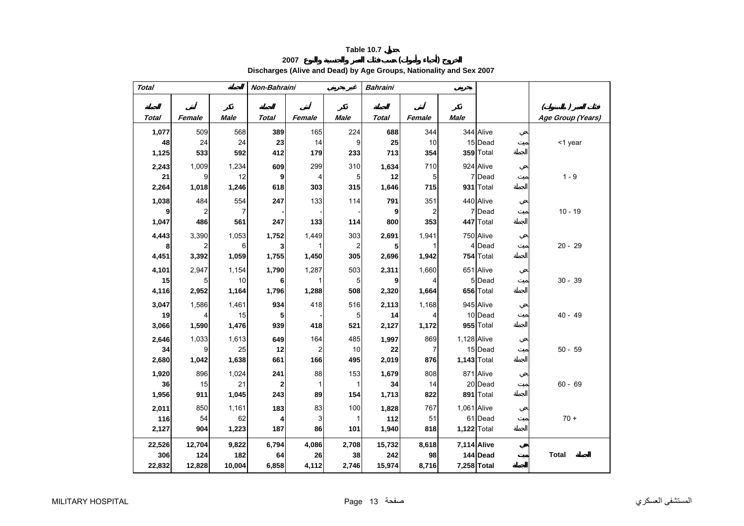### **2007 ( ) Discharges (Alive and Dead) by Age Groups, Nationality and Sex 2007**

<span id="page-11-0"></span>

| <b>Total</b> |                |                 | <b>Bahraini</b><br>Non-Bahraini |                |                |              |                         |                    |           |                               |
|--------------|----------------|-----------------|---------------------------------|----------------|----------------|--------------|-------------------------|--------------------|-----------|-------------------------------|
|              |                |                 |                                 |                |                |              |                         |                    |           | $\overline{)}$                |
| <b>Total</b> | Female         | <b>Male</b>     | <b>Total</b>                    | Female         | <b>Male</b>    | <b>Total</b> | Female                  | <b>Male</b>        |           | $\left($<br>Age Group (Years) |
| 1,077        | 509            | 568             | 389                             | 165            | 224            | 688          | 344                     |                    | 344 Alive |                               |
| 48           | 24             | 24              | 23                              | 14             | 9              | 25           | 10                      |                    | 15 Dead   | <1 year                       |
| 1,125        | 533            | 592             | 412                             | 179            | 233            | 713          | 354                     |                    | 359 Total |                               |
| 2,243        | 1,009          | 1,234           | 609                             | 299            | 310            | 1,634        | 710                     |                    | 924 Alive |                               |
| 21           | 9              | 12              | 9                               | 4              | 5              | 12           | 5                       |                    | 7 Dead    | $1 - 9$                       |
| 2,264        | 1,018          | 1,246           | 618                             | 303            | 315            | 1,646        | 715                     |                    | 931 Total |                               |
| 1,038        | 484            | 554             | 247                             | 133            | 114            | 791          | 351                     |                    | 440 Alive |                               |
| 9            | $\overline{2}$ | $\overline{7}$  |                                 |                |                | 9            | $\overline{\mathbf{c}}$ |                    | 7 Dead    | $10 - 19$                     |
| 1,047        | 486            | 561             | 247                             | 133            | 114            | 800          | 353                     |                    | 447 Total |                               |
| 4,443        | 3,390          | 1,053           | 1,752                           | 1,449          | 303            | 2,691        | 1,941                   |                    | 750 Alive |                               |
| 8            | $\overline{2}$ | 6               | 3                               |                | $\overline{2}$ | 5            |                         |                    | 4 Dead    | $20 - 29$                     |
| 4,451        | 3,392          | 1,059           | 1,755                           | 1,450          | 305            | 2,696        | 1,942                   |                    | 754 Total |                               |
| 4,101        | 2,947          | 1,154           | 1,790                           | 1,287          | 503            | 2,311        | 1,660                   |                    | 651 Alive |                               |
| 15           | 5 <sub>l</sub> | 10 <sup>1</sup> | 6                               | 1              | 5              | 9            | 4                       |                    | 5 Dead    | $30 - 39$                     |
| 4,116        | 2,952          | 1,164           | 1,796                           | 1,288          | 508            | 2,320        | 1,664                   |                    | 656 Total |                               |
| 3,047        | 1,586          | 1,461           | 934                             | 418            | 516            | 2,113        | 1,168                   |                    | 945 Alive |                               |
| 19           | $\overline{4}$ | 15              | 5                               |                | 5              | 14           | 4                       |                    | 10 Dead   | $40 - 49$                     |
| 3,066        | 1,590          | 1,476           | 939                             | 418            | 521            | 2,127        | 1,172                   |                    | 955 Total |                               |
| 2,646        | 1,033          | 1,613           | 649                             | 164            | 485            | 1,997        | 869                     | 1,128 Alive        |           |                               |
| 34           | 9              | 25              | 12                              | $\overline{c}$ | 10             | 22           | 7                       |                    | 15 Dead   | $50 - 59$                     |
| 2,680        | 1,042          | 1,638           | 661                             | 166            | 495            | 2,019        | 876                     | <b>1,143</b> Total |           |                               |
| 1,920        | 896            | 1,024           | 241                             | 88             | 153            | 1,679        | 808                     |                    | 871 Alive |                               |
| 36           | 15             | 21              | $\mathbf{2}$                    | $\mathbf{1}$   | $\mathbf{1}$   | 34           | 14                      |                    | 20 Dead   | $60 - 69$                     |
| 1,956        | 911            | 1,045           | 243                             | 89             | 154            | 1,713        | 822                     |                    | 891 Total |                               |
| 2,011        | 850            | 1,161           | 183                             | 83             | 100            | 1,828        | 767                     | 1,061 Alive        |           |                               |
| 116          | 54             | 62              | 4                               | 3              | 1              | 112          | 51                      |                    | 61 Dead   | $70 +$                        |
| 2,127        | 904            | 1,223           | 187                             | 86             | 101            | 1,940        | 818                     | 1,122 Total        |           |                               |
| 22,526       | 12,704         | 9,822           | 6,794                           | 4,086          | 2,708          | 15,732       | 8,618                   | 7,114 Alive        |           |                               |
| 306          | 124            | 182             | 64                              | 26             | 38             | 242          | 98                      |                    | 144 Dead  | <b>Total</b>                  |
| 22,832       | 12,828         | 10,004          | 6,858                           | 4,112          | 2,746          | 15,974       | 8,716                   | 7,258 Total        |           |                               |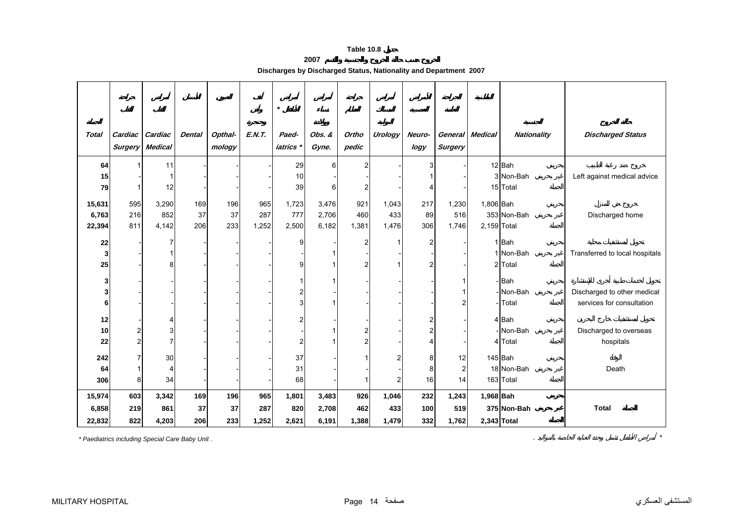### **2007**

| Discharges by Discharged Status, Nationality and Department 2007 |  |
|------------------------------------------------------------------|--|
|------------------------------------------------------------------|--|

<span id="page-12-0"></span>

|                           |                              |                                     |                  |                   |                     | $\star$                  |                         |                     |                       |                     |                            |                          |                                    |                                                          |
|---------------------------|------------------------------|-------------------------------------|------------------|-------------------|---------------------|--------------------------|-------------------------|---------------------|-----------------------|---------------------|----------------------------|--------------------------|------------------------------------|----------------------------------------------------------|
| <b>Total</b>              | Cardiac                      | Cardiac<br><b>Surgery Medical</b>   | <b>Dental</b>    | Opthal-<br>mology | <b>E.N.T.</b>       | Paed-<br>iatrics *       | Obs. &<br>Gyne.         | Ortho<br>pedic      | Urology               | Neuro-<br>logy      | <b>Surgery</b>             | General Medical          | Nationality                        | <b>Discharged Status</b>                                 |
| 64<br>15<br>79            |                              | 11<br>1<br>12                       |                  |                   |                     | 29<br>10<br>39           | 6<br>6                  | 2                   |                       | 3<br>4              |                            |                          | 12 Bah<br>3 Non-Bah<br>15 Total    | Left against medical advice                              |
| 15,631<br>6,763<br>22,394 | 595<br>216<br>811            | 3,290<br>852<br>4,142               | 169<br>37<br>206 | 196<br>37<br>233  | 965<br>287<br>1,252 | 1,723<br>777<br>2,500    | 3,476<br>2,706<br>6,182 | 921<br>460<br>1,381 | 1,043<br>433<br>1,476 | 217<br>89<br>306    | 1,230<br>516<br>1,746      | 1,806 Bah<br>2,159 Total | 353 Non-Bah                        | Discharged home                                          |
| 22<br>3<br>25             |                              | $\overline{7}$<br>$\mathbf{1}$<br>8 |                  |                   |                     | 9<br>9                   |                         |                     |                       | $\overline{2}$<br>2 |                            |                          | 1Bah<br>1 Non-Bah<br>2 Total       | Transferred to local hospitals                           |
| 3<br>3<br>6               |                              |                                     |                  |                   |                     | 1<br>$\overline{2}$<br>3 |                         |                     |                       |                     | 2                          |                          | - Bah<br>- Non-Bah<br>-Total       | Discharged to other medical<br>services for consultation |
| 12<br>10<br>22            | $\mathbf{2}$<br>$\mathbf{z}$ | 4<br>$\mathsf 3$<br>$\overline{7}$  |                  |                   |                     | 2<br>$\overline{2}$      |                         |                     |                       | 2<br>$\overline{2}$ |                            |                          | 4 Bah<br>-Non-Bah<br>4 Total       | Discharged to overseas<br>hospitals                      |
| 242<br>64<br>306          | 8                            | 30<br>4<br>34                       |                  |                   |                     | 37<br>31<br>68           |                         |                     | 2                     | 8<br>8<br>16        | 12<br>$\overline{2}$<br>14 |                          | 145 Bah<br>18 Non-Bah<br>163 Total | Death                                                    |
| 15,974<br>6,858<br>22,832 | 603<br>219<br>822            | 3,342<br>861<br>4,203               | 169<br>37<br>206 | 196<br>37<br>233  | 965<br>287<br>1,252 | 1,801<br>820<br>2,621    | 3,483<br>2,708<br>6,191 | 926<br>462<br>1,388 | 1,046<br>433<br>1,479 | 232<br>100<br>332   | 1,243<br>519<br>1,762      | 1,968 Bah                | 375 Non-Bah<br>2,343 Total         | <b>Total</b>                                             |

*\* Paediatrics including Special Care Baby Unit .* . *\**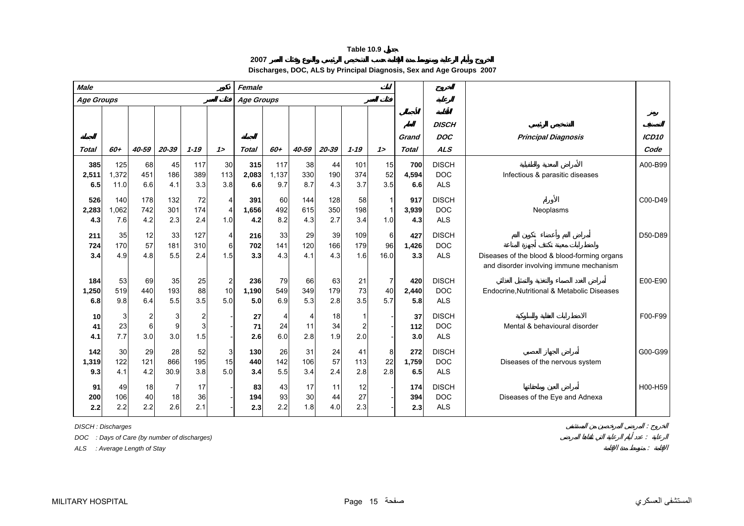**2007**

**Discharges, DOC, ALS by Principal Diagnosis, Sex and Age Groups 2007**

<span id="page-13-0"></span>

| <b>Male</b>         |                      |                   |                             |                   |                             | Female              |                     |                   |                   |                                     |                             |                               |                                          |                                                                                         |                           |
|---------------------|----------------------|-------------------|-----------------------------|-------------------|-----------------------------|---------------------|---------------------|-------------------|-------------------|-------------------------------------|-----------------------------|-------------------------------|------------------------------------------|-----------------------------------------------------------------------------------------|---------------------------|
| <b>Age Groups</b>   |                      |                   |                             |                   |                             | <b>Age Groups</b>   |                     |                   |                   |                                     |                             |                               |                                          |                                                                                         |                           |
| <b>Total</b>        | 60+                  | 40-59             | 20-39                       | $1 - 19$          | 12                          | <b>Total</b>        | 60+                 | 40-59             | 20-39             | $1 - 19$                            | 12                          | Grand<br><b>Total</b>         | <b>DISCH</b><br><b>DOC</b><br><b>ALS</b> | <b>Principal Diagnosis</b>                                                              | ICD <sub>10</sub><br>Code |
| 385<br>2,511<br>6.5 | 125<br>1,372<br>11.0 | 68<br>451<br>6.6  | 45<br>186<br>4.1            | 117<br>389<br>3.3 | 30<br>113<br>3.8            | 315<br>2,083<br>6.6 | 117<br>1.137<br>9.7 | 38<br>330<br>8.7  | 44<br>190<br>4.3  | 101<br>374<br>3.7                   | 15<br>52<br>3.5             | 700<br>4,594<br>6.6           | <b>DISCH</b><br><b>DOC</b><br><b>ALS</b> | Infectious & parasitic diseases                                                         | A00-B99                   |
| 526<br>2,283<br>4.3 | 140<br>1,062<br>7.6  | 178<br>742<br>4.2 | 132<br>301<br>2.3           | 72<br>174<br>2.4  | 4<br>$\overline{4}$<br>1.0  | 391<br>1,656<br>4.2 | 60<br>492<br>8.2    | 144<br>615<br>4.3 | 128<br>350<br>2.7 | 58<br>198<br>3.4                    | 1.0                         | 917<br>3,939<br>4.3           | <b>DISCH</b><br>DOC<br><b>ALS</b>        | Neoplasms                                                                               | C00-D49                   |
| 211<br>724<br>3.4   | 35<br>170<br>4.9     | 12<br>57<br>4.8   | 33<br>181<br>5.5            | 127<br>310<br>2.4 | 4<br>6<br>1.5               | 216<br>702<br>3.3   | 33<br>141<br>4.3    | 29<br>120<br>4.1  | 39<br>166<br>4.3  | 109<br>179<br>1.6                   | 6<br>96<br>16.0             | 427<br>1,426<br>3.3           | <b>DISCH</b><br><b>DOC</b><br><b>ALS</b> | Diseases of the blood & blood-forming organs<br>and disorder involving immune mechanism | D50-D89                   |
| 184<br>1,250<br>6.8 | 53<br>519<br>9.8     | 69<br>440<br>6.4  | 35<br>193<br>5.5            | 25<br>88<br>3.5   | $\overline{2}$<br>10<br>5.0 | 236<br>1,190<br>5.0 | 79<br>549<br>6.9    | 66<br>349<br>5.3  | 63<br>179<br>2.8  | 21<br>73<br>3.5                     | $\overline{7}$<br>40<br>5.7 | 420<br>2,440<br>5.8           | <b>DISCH</b><br><b>DOC</b><br><b>ALS</b> | Endocrine, Nutritional & Metabolic Diseases                                             | E00-E90                   |
| 10<br>41<br>4.1     | 3<br>23<br>7.7       | 2<br>6<br>3.0     | $\overline{3}$<br>9<br>3.0  | 2<br>3<br>1.5     |                             | 27<br>71<br>2.6     | 4<br>24<br>6.0      | 4<br>11<br>2.8    | 18<br>34<br>1.9   | 1<br>$\overline{\mathbf{c}}$<br>2.0 |                             | 37<br>112<br>3.0 <sub>l</sub> | <b>DISCH</b><br>DOC<br><b>ALS</b>        | Mental & behavioural disorder                                                           | F00-F99                   |
| 142<br>1,319<br>9.3 | 30<br>122<br>4.1     | 29<br>121<br>4.2  | 28<br>866<br>30.9           | 52<br>195<br>3.8  | 3<br>15<br>5.0              | 130<br>440<br>3.4   | 26<br>142<br>5.5    | 31<br>106<br>3.4  | 24<br>57<br>2.4   | 41<br>113<br>2.8                    | 8<br>22<br>2.8              | 272<br>1,759<br>6.5           | <b>DISCH</b><br><b>DOC</b><br><b>ALS</b> | Diseases of the nervous system                                                          | G00-G99                   |
| 91<br>200<br>2.2    | 49<br>106<br>2.2     | 18<br>40<br>2.2   | $\overline{7}$<br>18<br>2.6 | 17<br>36<br>2.1   |                             | 83<br>194<br>2.3    | 43<br>93<br>2.2     | 17<br>30<br>1.8   | 11<br>44<br>4.0   | 12<br>27<br>2.3                     |                             | 174<br>394<br>2.3             | <b>DISCH</b><br><b>DOC</b><br><b>ALS</b> | Diseases of the Eye and Adnexa                                                          | H00-H59                   |

*DISCH : Discharges* :

*DOC : Days of Care (by number of discharges)* :

*ALS : Average Length of Stay* :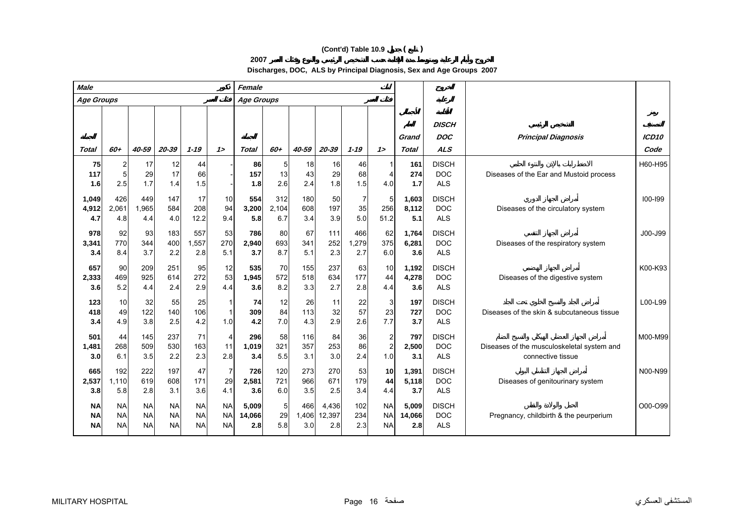### **(Cont'd) Table 10.9 ( )**

**Discharges, DOC, ALS by Principal Diagnosis, Sex and Age Groups 2007**

| <b>Male</b>                  |                                     |                                     |                                     |                                     |                                      | Female                 |                     |                     |                        |                             |                                         |                        |                                          |                                                                 |                   |
|------------------------------|-------------------------------------|-------------------------------------|-------------------------------------|-------------------------------------|--------------------------------------|------------------------|---------------------|---------------------|------------------------|-----------------------------|-----------------------------------------|------------------------|------------------------------------------|-----------------------------------------------------------------|-------------------|
| Age Groups                   |                                     |                                     |                                     |                                     |                                      | Age Groups             |                     |                     |                        |                             |                                         |                        |                                          |                                                                 |                   |
|                              |                                     |                                     |                                     |                                     |                                      |                        |                     |                     |                        |                             |                                         | Grand                  | <b>DISCH</b><br><b>DOC</b>               | <b>Principal Diagnosis</b>                                      | ICD <sub>10</sub> |
| Total                        | 60+                                 | 40-59                               | 20-39                               | $1 - 19$                            | 12                                   | <b>Total</b>           | 60+                 | 40-59               | 20-39                  | $1 - 19$                    | 12                                      | <b>Total</b>           | <b>ALS</b>                               |                                                                 | Code              |
| 75<br>117<br>1.6             | $\overline{c}$<br>5<br>2.5          | 17<br>29<br>1.7                     | 12<br>17<br>1.4                     | 44<br>66<br>1.5                     |                                      | 86<br>157<br>1.8       | 5<br>13<br>2.6      | 18<br>43<br>2.4     | 16<br>29<br>1.8        | 46<br>68<br>1.5             | 4.0                                     | 161<br>274<br>1.7      | <b>DISCH</b><br><b>DOC</b><br><b>ALS</b> | Diseases of the Ear and Mustoid process                         | H60-H95           |
| 1,049<br>4,912<br>4.7        | 426<br>2,061<br>4.8                 | 449<br>1,965<br>4.4                 | 147<br>584<br>4.0                   | 17<br>208<br>12.2                   | 10<br>94<br>9.4                      | 554<br>3,200<br>5.8    | 312<br>2,104<br>6.7 | 180<br>608<br>3.4   | 50<br>197<br>3.9       | $\overline{7}$<br>35<br>5.0 | 5<br>256<br>51.2                        | 1,603<br>8,112<br>5.1  | <b>DISCH</b><br><b>DOC</b><br><b>ALS</b> | Diseases of the circulatory system                              | $100 - 199$       |
| 978<br>3,341<br>3.4          | 92<br>770<br>8.4                    | 93<br>344<br>3.7                    | 183<br>400<br>2.2                   | 557<br>1,557<br>2.8                 | 53<br>270<br>5.1                     | 786<br>2,940<br>3.7    | 80<br>693<br>8.7    | 67<br>341<br>5.1    | 111<br>252<br>2.3      | 466<br>1,279<br>2.7         | 62<br>375<br>6.0                        | 1,764<br>6,281<br>3.6  | <b>DISCH</b><br><b>DOC</b><br><b>ALS</b> | Diseases of the respiratory system                              | J00-J99           |
| 657<br>2,333<br>3.6          | 90<br>469<br>5.2                    | 209<br>925<br>4.4                   | 251<br>614<br>2.4                   | 95<br>272<br>2.9                    | 12<br>53<br>4.4                      | 535<br>1,945<br>3.6    | 70<br>572<br>8.2    | 155<br>518<br>3.3   | 237<br>634<br>2.7      | 63<br>177<br>2.8            | 10<br>44<br>4.4                         | 1,192<br>4,278<br>3.6  | <b>DISCH</b><br><b>DOC</b><br><b>ALS</b> | Diseases of the digestive system                                | K00-K93           |
| 123<br>418<br>3.4            | 10<br>49<br>4.9                     | 32<br>122<br>3.8                    | 55<br>140<br>2.5                    | 25<br>106<br>4.2                    | 1.0                                  | 74<br>309<br>4.2       | 12<br>84<br>7.0     | 26<br>113<br>4.3    | 11<br>32<br>2.9        | 22<br>57<br>2.6             | 3<br>23<br>7.7                          | 197<br>727<br>3.7      | <b>DISCH</b><br><b>DOC</b><br><b>ALS</b> | Diseases of the skin & subcutaneous tissue                      | L00-L99           |
| 501<br>1,481<br>3.0          | 44<br>268<br>6.1                    | 145<br>509<br>3.5                   | 237<br>530<br>2.2                   | 71<br>163<br>2.3                    | $\overline{\mathbf{4}}$<br>11<br>2.8 | 296<br>1,019<br>3.4    | 58<br>321<br>5.5    | 116<br>357<br>3.1   | 84<br>253<br>3.0       | 36<br>86<br>2.4             | $\overline{2}$<br>$\overline{2}$<br>1.0 | 797<br>2,500<br>3.1    | <b>DISCH</b><br><b>DOC</b><br><b>ALS</b> | Diseases of the musculoskeletal system and<br>connective tissue | M00-M99           |
| 665<br>2,537<br>3.8          | 192<br>1.110<br>5.8                 | 222<br>619<br>2.8                   | 197<br>608<br>3.1                   | 47<br>171<br>3.6                    | $\overline{7}$<br>29<br>4.1          | 726<br>2,581<br>3.6    | 120<br>721<br>6.0   | 273<br>966<br>3.5   | 270<br>671<br>2.5      | 53<br>179<br>3.4            | 10<br>44<br>4.4                         | 1.391<br>5,118<br>3.7  | <b>DISCH</b><br><b>DOC</b><br><b>ALS</b> | Diseases of genitourinary system                                | N00-N99           |
| <b>NA</b><br><b>NA</b><br>ΝA | <b>NA</b><br><b>NA</b><br><b>NA</b> | <b>NA</b><br><b>NA</b><br><b>NA</b> | <b>NA</b><br><b>NA</b><br><b>NA</b> | <b>NA</b><br><b>NA</b><br><b>NA</b> | <b>NA</b><br><b>NA</b><br><b>NA</b>  | 5,009<br>14,066<br>2.8 | 5<br>29<br>5.8      | 466<br>1,406<br>3.0 | 4,436<br>12,397<br>2.8 | 102<br>234<br>2.3           | <b>NA</b><br><b>NA</b><br><b>NA</b>     | 5,009<br>14,066<br>2.8 | <b>DISCH</b><br><b>DOC</b><br><b>ALS</b> | Pregnancy, childbirth & the peurperium                          | O00-O99           |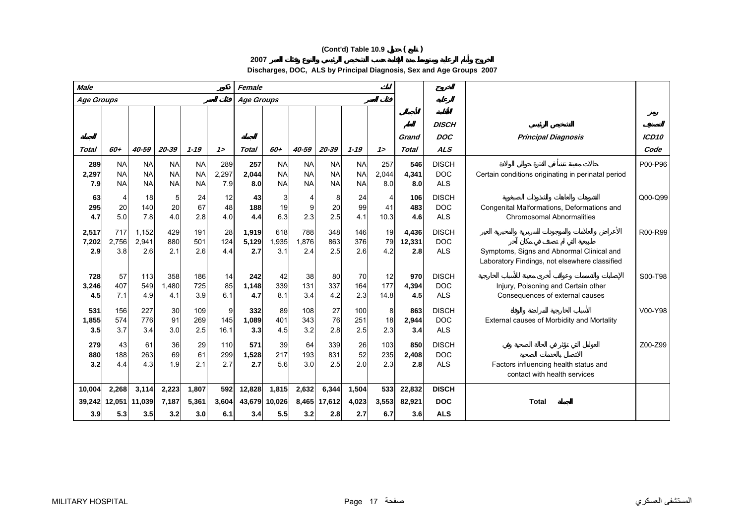### **(Cont'd) Table 10.9 ( )**

**Discharges, DOC, ALS by Principal Diagnosis, Sex and Age Groups 2007**

| <b>Male</b>             |                                     |                                     |                                     |                                     |                     | Female                  |                                     |                                     |                                     |                                     |                     |                         |                                          |                                                                                            |                   |
|-------------------------|-------------------------------------|-------------------------------------|-------------------------------------|-------------------------------------|---------------------|-------------------------|-------------------------------------|-------------------------------------|-------------------------------------|-------------------------------------|---------------------|-------------------------|------------------------------------------|--------------------------------------------------------------------------------------------|-------------------|
| <b>Age Groups</b>       |                                     |                                     |                                     |                                     |                     | Age Groups              |                                     |                                     |                                     |                                     |                     |                         |                                          |                                                                                            |                   |
|                         |                                     |                                     |                                     |                                     |                     |                         |                                     |                                     |                                     |                                     |                     |                         | <b>DISCH</b><br><b>DOC</b>               |                                                                                            | ICD <sub>10</sub> |
| <b>Total</b>            | 60+                                 | 40-59                               | 20-39                               | $1 - 19$                            | $1\geq$             | <b>Total</b>            | 60+                                 | 40-59                               | 20-39                               | $1 - 19$                            | $1\geq$             | Grand<br><b>Total</b>   | <b>ALS</b>                               | <b>Principal Diagnosis</b>                                                                 | Code              |
|                         |                                     |                                     |                                     |                                     |                     |                         |                                     |                                     |                                     |                                     |                     |                         |                                          |                                                                                            |                   |
| 289<br>2,297<br>7.9     | <b>NA</b><br><b>NA</b><br><b>NA</b> | <b>NA</b><br><b>NA</b><br><b>NA</b> | <b>NA</b><br><b>NA</b><br><b>NA</b> | <b>NA</b><br><b>NA</b><br><b>NA</b> | 289<br>2,297<br>7.9 | 257<br>2,044<br>8.0     | <b>NA</b><br><b>NA</b><br><b>NA</b> | <b>NA</b><br><b>NA</b><br><b>NA</b> | <b>NA</b><br><b>NA</b><br><b>NA</b> | <b>NA</b><br><b>NA</b><br><b>NA</b> | 257<br>2,044<br>8.0 | 546<br>4,341<br>8.0     | <b>DISCH</b><br><b>DOC</b><br><b>ALS</b> | Certain conditions originating in perinatal period                                         | P00-P96           |
| 63<br>295<br>4.7        | 4<br>20<br>5.0                      | 18<br>140<br>7.8                    | 5<br>20<br>4.0                      | 24<br>67<br>2.8                     | 12<br>48<br>4.0     | 43<br>188<br>4.4        | 3<br>19<br>6.3                      | 9<br>2.3                            | 8<br>20<br>2.5                      | 24<br>99<br>4.1                     | 41<br>10.3          | 106<br>483<br>4.6       | <b>DISCH</b><br><b>DOC</b><br><b>ALS</b> | Congenital Malformations, Deformations and<br><b>Chromosomal Abnormalities</b>             | Q00-Q99           |
| 2,517<br>7,202<br>2.9   | 717<br>2,756<br>3.8                 | 1.152<br>2,941<br>2.6               | 429<br>880<br>2.1                   | 191<br>501<br>2.6                   | 28<br>124<br>4.4    | 1,919<br>5,129<br>2.7   | 618<br>1,935<br>3.1                 | 788<br>1,876<br>2.4                 | 348<br>863<br>2.5                   | 146<br>376<br>2.6                   | 19<br>79<br>4.2     | 4,436<br>12,331<br>2.8  | <b>DISCH</b><br><b>DOC</b><br><b>ALS</b> | Symptoms, Signs and Abnormal Clinical and<br>Laboratory Findings, not elsewhere classified | R00-R99           |
| 728<br>3,246<br>4.5     | 57<br>407<br>7.1                    | 113<br>549<br>4.9                   | 358<br>1,480<br>4.1                 | 186<br>725<br>3.9                   | 14<br>85<br>6.1     | 242<br>1,148<br>4.7     | 42<br>339<br>8.1                    | 38<br>131<br>3.4                    | 80<br>337<br>4.2                    | 70<br>164<br>2.3                    | 12<br>177<br>14.8   | 970<br>4,394<br>4.5     | <b>DISCH</b><br><b>DOC</b><br><b>ALS</b> | Injury, Poisoning and Certain other<br>Consequences of external causes                     | S00-T98           |
| 531<br>1,855<br>3.5     | 156<br>574<br>3.7                   | 227<br>776<br>3.4                   | 30<br>91<br>3.0                     | 109<br>269<br>2.5                   | 9<br>145<br>16.1    | 332<br>1,089<br>3.3     | 89<br>401<br>4.5                    | 108<br>343<br>3.2                   | 27<br>76<br>2.8                     | 100<br>251<br>2.5                   | 8<br>18<br>2.3      | 863<br>2,944<br>3.4     | <b>DISCH</b><br><b>DOC</b><br><b>ALS</b> | External causes of Morbidity and Mortality                                                 | V00-Y98           |
| 279<br>880<br>3.2       | 43<br>188<br>4.4                    | 61<br>263<br>4.3                    | 36<br>69<br>1.9                     | 29<br>61<br>2.1                     | 110<br>299<br>2.7   | 571<br>1,528<br>2.7     | 39<br>217<br>5.6                    | 64<br>193<br>3.0                    | 339<br>831<br>2.5                   | 26<br>52<br>2.0                     | 103<br>235<br>2.3   | 850<br>2,408<br>2.8     | <b>DISCH</b><br><b>DOC</b><br><b>ALS</b> | Factors influencing health status and<br>contact with health services                      | Z00-Z99           |
| 10,004<br>39,242<br>3.9 | 2,268<br>12,051<br>5.3              | 3,114<br>11,039<br>3.5              | 2,223<br>7,187<br>3.2               | 1,807<br>5,361<br>3.0               | 592<br>3,604<br>6.1 | 12,828<br>43,679<br>3.4 | 1,815<br>10,026<br>5.5              | 2,632<br>3.2                        | 6,344<br>8,465 17,612<br>2.8        | 1,504<br>4,023<br>2.7               | 533<br>3,553<br>6.7 | 22,832<br>82,921<br>3.6 | <b>DISCH</b><br><b>DOC</b><br><b>ALS</b> | <b>Total</b>                                                                               |                   |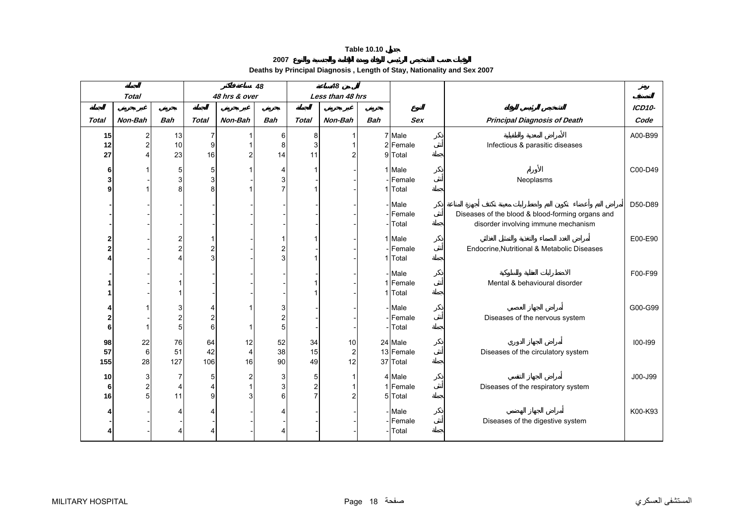**Deaths by Principal Diagnosis , Length of Stay, Nationality and Sex 2007** 

<span id="page-16-0"></span>

|                         |                         |                |                  |                         | 48                      |                | 48                      |            |            |                                                  |               |
|-------------------------|-------------------------|----------------|------------------|-------------------------|-------------------------|----------------|-------------------------|------------|------------|--------------------------------------------------|---------------|
|                         | <b>Total</b>            |                |                  | 48 hrs & over           |                         |                | Less than 48 hrs        |            |            |                                                  |               |
|                         |                         |                |                  |                         |                         |                |                         |            |            |                                                  | <b>ICD10-</b> |
| <b>Total</b>            | Non-Bah                 | <b>Bah</b>     | <b>Total</b>     | Non-Bah                 | <b>Bah</b>              | <b>Total</b>   | Non-Bah                 | <b>Bah</b> | <b>Sex</b> | <b>Principal Diagnosis of Death</b>              | Code          |
| 15                      | 2                       | 13             | 7                |                         | 6                       | 8              | 1                       |            | 7 Male     |                                                  | A00-B99       |
| 12                      | $\overline{\mathbf{c}}$ | 10             | $\boldsymbol{9}$ | 1                       | 8                       | 3              |                         |            | 2 Female   | Infectious & parasitic diseases                  |               |
| 27                      |                         | 23             | 16               | 2                       | 14                      | 11             | $\overline{2}$          |            | 9 Total    |                                                  |               |
|                         |                         |                |                  |                         |                         |                |                         |            | 1 Male     |                                                  | C00-D49       |
| 6                       |                         | 5<br>3         | 5<br>3           |                         | $\overline{4}$          |                |                         |            | - Female   |                                                  |               |
| 3                       |                         |                |                  |                         | 3<br>$\overline{7}$     |                |                         |            |            | Neoplasms                                        |               |
| 9                       |                         | 8              | 8                |                         |                         |                |                         |            | 1 Total    |                                                  |               |
|                         |                         |                |                  |                         |                         |                |                         |            | - Male     |                                                  | D50-D89       |
|                         |                         |                |                  |                         |                         |                |                         |            | Female     | Diseases of the blood & blood-forming organs and |               |
|                         |                         |                |                  |                         |                         |                |                         |            | Total      | disorder involving immune mechanism              |               |
|                         |                         |                |                  |                         |                         |                |                         |            |            |                                                  |               |
| 2                       |                         | 2              |                  |                         |                         |                |                         |            | 1 Male     |                                                  | E00-E90       |
| $\overline{\mathbf{2}}$ |                         | $\overline{c}$ | $\overline{2}$   |                         | $\overline{\mathbf{c}}$ |                |                         |            | Female     | Endocrine, Nutritional & Metabolic Diseases      |               |
| 4                       |                         | Δ              | 3                |                         | 3                       |                |                         |            | 1 Total    |                                                  |               |
|                         |                         |                |                  |                         |                         |                |                         |            | - Male     |                                                  | F00-F99       |
|                         |                         |                |                  |                         |                         |                |                         |            | 1 Female   | Mental & behavioural disorder                    |               |
|                         |                         |                |                  |                         |                         |                |                         |            | 1 Total    |                                                  |               |
|                         |                         |                |                  |                         |                         |                |                         |            |            |                                                  |               |
| 4                       |                         | 3              | 4                |                         | 3                       |                |                         |            | - Male     |                                                  | G00-G99       |
| $\overline{2}$          |                         | $\overline{2}$ | $\overline{2}$   |                         | $\overline{c}$          |                |                         |            | Female     | Diseases of the nervous system                   |               |
| 6                       |                         | 5              | 6                | 1                       | $\overline{5}$          |                |                         |            | Total      |                                                  |               |
| 98                      | 22                      | 76             | 64               | 12                      | 52                      | 34             | 10                      |            | 24 Male    |                                                  | $100 - 199$   |
| 57                      | 6                       | 51             | 42               | $\overline{4}$          | 38                      | 15             | $\overline{\mathbf{c}}$ |            | 13 Female  | Diseases of the circulatory system               |               |
| 155                     | 28                      | 127            | 106              | 16                      | 90                      | 49             | 12                      |            | 37 Total   |                                                  |               |
|                         |                         |                |                  |                         |                         |                |                         |            |            |                                                  |               |
| 10                      | 3                       | $\overline{7}$ | 5                | $\overline{\mathbf{c}}$ | 3                       | 5              |                         |            | 4 Male     |                                                  | J00-J99       |
| 6                       | $\boldsymbol{2}$        | 4              | $\overline{4}$   | $\mathbf{1}$            | 3                       | $\overline{c}$ |                         |            | Female     | Diseases of the respiratory system               |               |
| 16                      | 5                       | 11             | 9                | 3                       | $\,6$                   |                | $\overline{2}$          |            | 5 Total    |                                                  |               |
|                         |                         |                |                  |                         |                         |                |                         |            |            |                                                  |               |
|                         |                         | 4              |                  |                         | 4                       |                |                         |            | - Male     |                                                  | K00-K93       |
|                         |                         |                |                  |                         |                         |                |                         |            | Female     | Diseases of the digestive system                 |               |
|                         |                         |                |                  |                         | 4                       |                |                         |            | Total      |                                                  |               |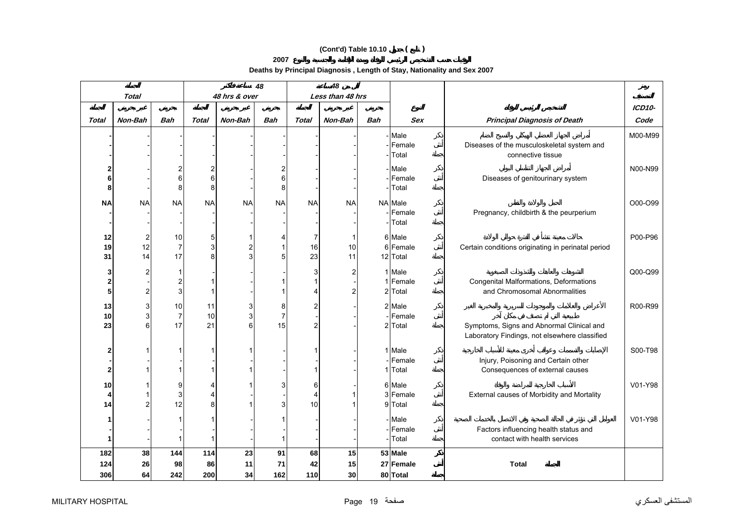### **(Cont'd) Table 10.10 ( )**

**Deaths by Principal Diagnosis , Length of Stay, Nationality and Sex 2007** 

|                |                |                |                |               | 48             |                | 48               |            |                    |                                                                                            |         |
|----------------|----------------|----------------|----------------|---------------|----------------|----------------|------------------|------------|--------------------|--------------------------------------------------------------------------------------------|---------|
|                | <b>Total</b>   |                |                | 48 hrs & over |                |                | Less than 48 hrs |            |                    |                                                                                            |         |
|                |                |                |                |               |                |                |                  |            |                    |                                                                                            | ICD10-  |
| Total          | Non-Bah        | <b>Bah</b>     | Total          | Non-Bah       | <b>Bah</b>     | <b>Total</b>   | Non-Bah          | <b>Bah</b> | <b>Sex</b>         | <b>Principal Diagnosis of Death</b>                                                        | Code    |
|                |                |                |                |               |                |                |                  |            | - Male             |                                                                                            | M00-M99 |
|                |                |                |                |               |                |                |                  |            | Female             | Diseases of the musculoskeletal system and                                                 |         |
|                |                |                |                |               |                |                |                  |            | Total              | connective tissue                                                                          |         |
| 2              |                | 2              | $\overline{c}$ |               | 2              |                |                  |            | Male               |                                                                                            | N00-N99 |
| 6              |                | 6              | 6              |               | $\,6$          |                |                  |            | Female             | Diseases of genitourinary system                                                           |         |
| 8              |                | 8              | 8              |               | 8              |                |                  |            | Total              |                                                                                            |         |
| <b>NA</b>      | <b>NA</b>      | <b>NA</b>      | <b>NA</b>      | <b>NA</b>     | <b>NA</b>      | <b>NA</b>      | <b>NA</b>        |            | NA Male            |                                                                                            | O00-O99 |
|                |                |                |                |               |                |                |                  |            | -IFemale           | Pregnancy, childbirth & the peurperium                                                     |         |
|                |                |                |                |               |                |                |                  |            | Total              |                                                                                            |         |
| 12             | $\overline{2}$ | 10             | 5              |               | 4              | $\overline{7}$ | 1                |            | 6 Male             |                                                                                            | P00-P96 |
| 19             | 12             | $\overline{7}$ | 3              | 2             | 1              | 16             | 10               |            | 6 Female           | Certain conditions originating in perinatal period                                         |         |
| 31             | 14             | 17             | 8              | 3             | 5              | 23             | 11               |            | 12 Total           |                                                                                            |         |
|                |                |                |                |               |                |                |                  |            |                    |                                                                                            |         |
| 3              | 2              | 1<br>2         | 1              |               |                | 3<br>1         | $\overline{c}$   |            | 1 Male<br>1 Female | Congenital Malformations, Deformations                                                     | Q00-Q99 |
| $\frac{2}{5}$  | 2              | 3              | $\mathbf{1}$   |               |                | 4              | $\overline{2}$   |            | 2 Total            | and Chromosomal Abnormalities                                                              |         |
|                |                |                |                |               |                |                |                  |            |                    |                                                                                            |         |
| 13             | 3              | 10             | 11             | 3             | 8              | $\overline{2}$ |                  |            | 2 Male             |                                                                                            | R00-R99 |
| 10             | 3              | 7              | 10             | 3             | $\overline{7}$ |                |                  |            | Female             |                                                                                            |         |
| 23             | 6              | 17             | 21             | 6             | 15             | $\overline{c}$ |                  |            | 2 Total            | Symptoms, Signs and Abnormal Clinical and<br>Laboratory Findings, not elsewhere classified |         |
|                |                |                |                |               |                |                |                  |            |                    |                                                                                            |         |
| 2              |                |                | 1              |               |                |                |                  |            | 1 Male             |                                                                                            | S00-T98 |
|                |                |                |                |               |                |                |                  |            | - Female           | Injury, Poisoning and Certain other                                                        |         |
| $\mathbf{2}$   |                |                | 1              |               |                |                |                  |            | 1 Total            | Consequences of external causes                                                            |         |
| 10             |                | 9              | 4              |               | 3              | 6              |                  |            | 6 Male             |                                                                                            | V01-Y98 |
| $\overline{4}$ |                | 3              | 4              |               |                | $\overline{4}$ |                  |            | 3 Female           | External causes of Morbidity and Mortality                                                 |         |
| 14             |                | 12             | 8              |               | 3              | 10             |                  |            | 9 Total            |                                                                                            |         |
| 1              |                |                | 1              |               |                |                |                  |            | - Male             |                                                                                            | V01-Y98 |
|                |                |                |                |               |                |                |                  |            | Female             | Factors influencing health status and                                                      |         |
| 1              |                |                | 1              |               | 1              |                |                  |            | Total              | contact with health services                                                               |         |
| 182            | 38             | 144            | 114            | 23            | 91             | 68             | 15               |            | 53 Male            |                                                                                            |         |
| 124            | 26             | 98             | 86             | 11            | 71             | 42             | 15               |            | 27 Female          | <b>Total</b>                                                                               |         |
| 306            | 64             | 242            | 200            | 34            | 162            | 110            | 30               |            | 80 Total           |                                                                                            |         |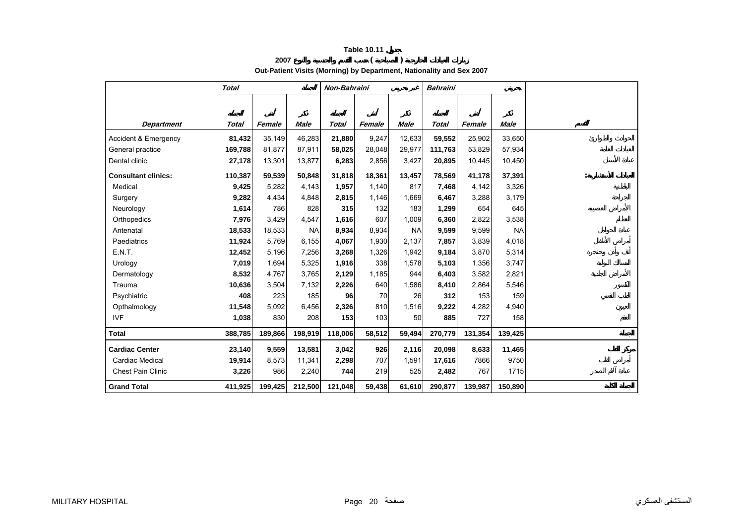## **2007 ( )**

**Out-Patient Visits (Morning) by Department, Nationality and Sex 2007** 

<span id="page-18-0"></span>

|                            | <b>Total</b> |         |           | Non-Bahraini |        |           | <b>Bahraini</b> |         |           |  |
|----------------------------|--------------|---------|-----------|--------------|--------|-----------|-----------------|---------|-----------|--|
|                            |              |         |           |              |        |           |                 |         |           |  |
|                            |              |         |           |              |        |           |                 |         |           |  |
| <b>Department</b>          | Total        | Female  | Male      | Total        | Female | Male      | <b>Total</b>    | Female  | Male      |  |
| Accident & Emergency       | 81,432       | 35,149  | 46,283    | 21,880       | 9,247  | 12,633    | 59,552          | 25,902  | 33,650    |  |
| General practice           | 169,788      | 81.877  | 87,911    | 58,025       | 28,048 | 29,977    | 111,763         | 53,829  | 57,934    |  |
| Dental clinic              | 27,178       | 13,301  | 13,877    | 6,283        | 2,856  | 3,427     | 20,895          | 10,445  | 10,450    |  |
| <b>Consultant clinics:</b> | 110,387      | 59,539  | 50,848    | 31,818       | 18,361 | 13,457    | 78,569          | 41,178  | 37,391    |  |
| Medical                    | 9,425        | 5,282   | 4,143     | 1,957        | 1,140  | 817       | 7,468           | 4,142   | 3,326     |  |
| Surgery                    | 9,282        | 4,434   | 4,848     | 2,815        | 1,146  | 1,669     | 6,467           | 3,288   | 3,179     |  |
| Neurology                  | 1,614        | 786     | 828       | 315          | 132    | 183       | 1,299           | 654     | 645       |  |
| Orthopedics                | 7,976        | 3,429   | 4,547     | 1,616        | 607    | 1,009     | 6,360           | 2,822   | 3,538     |  |
| Antenatal                  | 18,533       | 18,533  | <b>NA</b> | 8,934        | 8,934  | <b>NA</b> | 9,599           | 9,599   | <b>NA</b> |  |
| Paediatrics                | 11,924       | 5,769   | 6,155     | 4,067        | 1,930  | 2,137     | 7,857           | 3,839   | 4,018     |  |
| E.N.T.                     | 12,452       | 5,196   | 7,256     | 3,268        | 1,326  | 1,942     | 9,184           | 3,870   | 5,314     |  |
| Urology                    | 7,019        | 1,694   | 5,325     | 1,916        | 338    | 1,578     | 5,103           | 1,356   | 3,747     |  |
| Dermatology                | 8,532        | 4,767   | 3,765     | 2,129        | 1,185  | 944       | 6,403           | 3,582   | 2,821     |  |
| Trauma                     | 10,636       | 3,504   | 7,132     | 2,226        | 640    | 1,586     | 8,410           | 2,864   | 5,546     |  |
| Psychiatric                | 408          | 223     | 185       | 96           | 70     | 26        | 312             | 153     | 159       |  |
| Opthalmology               | 11,548       | 5,092   | 6,456     | 2,326        | 810    | 1,516     | 9,222           | 4,282   | 4,940     |  |
| <b>IVF</b>                 | 1,038        | 830     | 208       | 153          | 103    | 50        | 885             | 727     | 158       |  |
| <b>Total</b>               | 388,785      | 189,866 | 198,919   | 118,006      | 58,512 | 59,494    | 270,779         | 131,354 | 139,425   |  |
| <b>Cardiac Center</b>      | 23,140       | 9,559   | 13,581    | 3,042        | 926    | 2,116     | 20,098          | 8,633   | 11,465    |  |
| <b>Cardiac Medical</b>     | 19,914       | 8,573   | 11,341    | 2,298        | 707    | 1,591     | 17,616          | 7866    | 9750      |  |
| Chest Pain Clinic          | 3,226        | 986     | 2,240     | 744          | 219    | 525       | 2,482           | 767     | 1715      |  |
| <b>Grand Total</b>         | 411,925      | 199,425 | 212,500   | 121,048      | 59,438 | 61,610    | 290,877         | 139,987 | 150,890   |  |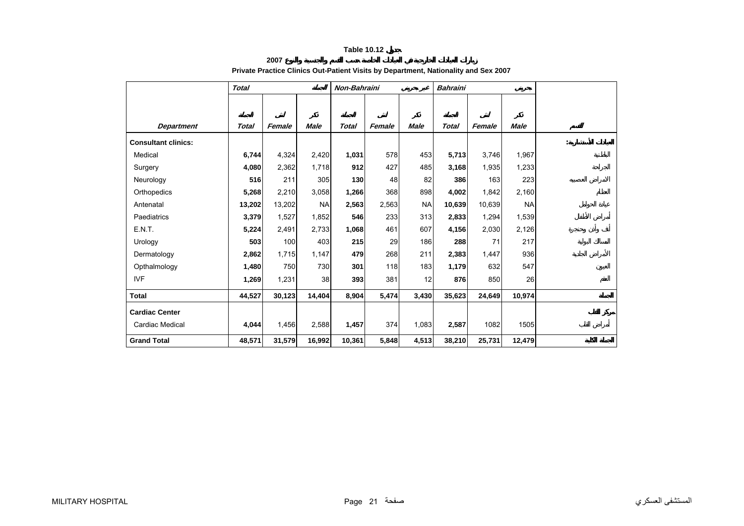**2007**

<span id="page-19-0"></span>

|                            | <b>Total</b> |        |             | Non-Bahraini |        |             | <b>Bahraini</b> |        |             |
|----------------------------|--------------|--------|-------------|--------------|--------|-------------|-----------------|--------|-------------|
| <b>Department</b>          | <b>Total</b> | Female | <b>Male</b> | <b>Total</b> | Female | <b>Male</b> | <b>Total</b>    | Female | <b>Male</b> |
| <b>Consultant clinics:</b> |              |        |             |              |        |             |                 |        |             |
| Medical                    | 6,744        | 4,324  | 2,420       | 1,031        | 578    | 453         | 5,713           | 3,746  | 1,967       |
| Surgery                    | 4,080        | 2,362  | 1,718       | 912          | 427    | 485         | 3,168           | 1,935  | 1,233       |
| Neurology                  | 516          | 211    | 305         | 130          | 48     | 82          | 386             | 163    | 223         |
| Orthopedics                | 5,268        | 2,210  | 3,058       | 1,266        | 368    | 898         | 4,002           | 1,842  | 2,160       |
| Antenatal                  | 13,202       | 13,202 | <b>NA</b>   | 2,563        | 2,563  | <b>NA</b>   | 10,639          | 10,639 | <b>NA</b>   |
| Paediatrics                | 3,379        | 1,527  | 1,852       | 546          | 233    | 313         | 2,833           | 1,294  | 1,539       |
| E.N.T.                     | 5,224        | 2,491  | 2,733       | 1,068        | 461    | 607         | 4,156           | 2,030  | 2,126       |
| Urology                    | 503          | 100    | 403         | 215          | 29     | 186         | 288             | 71     | 217         |
| Dermatology                | 2,862        | 1,715  | 1,147       | 479          | 268    | 211         | 2,383           | 1,447  | 936         |
| Opthalmology               | 1,480        | 750    | 730         | 301          | 118    | 183         | 1,179           | 632    | 547         |
| <b>IVF</b>                 | 1,269        | 1,231  | 38          | 393          | 381    | 12          | 876             | 850    | 26          |
| <b>Total</b>               | 44,527       | 30,123 | 14,404      | 8,904        | 5,474  | 3,430       | 35,623          | 24,649 | 10,974      |
| <b>Cardiac Center</b>      |              |        |             |              |        |             |                 |        |             |
| <b>Cardiac Medical</b>     | 4,044        | 1,456  | 2,588       | 1,457        | 374    | 1,083       | 2,587           | 1082   | 1505        |
| <b>Grand Total</b>         | 48.571       | 31,579 | 16,992      | 10,361       | 5,848  | 4,513       | 38,210          | 25,731 | 12,479      |

### **Private Practice Clinics Out-Patient Visits by Department, Nationality and Sex 2007**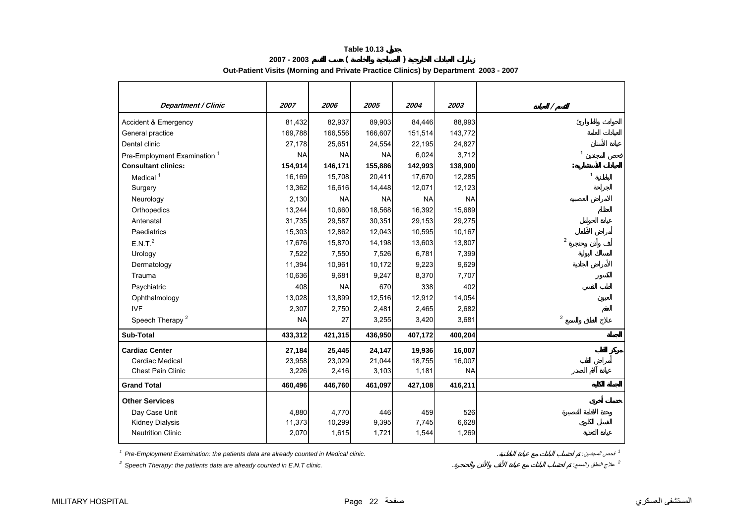**2007 - 2003 ( )** 

<span id="page-20-0"></span>

| <b>Department / Clinic</b>              | 2007      | 2006      | 2005      | 2004      | 2003      | Ι              |
|-----------------------------------------|-----------|-----------|-----------|-----------|-----------|----------------|
| Accident & Emergency                    | 81,432    | 82,937    | 89,903    | 84,446    | 88,993    |                |
| General practice                        | 169,788   | 166,556   | 166,607   | 151,514   | 143,772   |                |
| Dental clinic                           | 27,178    | 25,651    | 24,554    | 22,195    | 24,827    |                |
| Pre-Employment Examination <sup>1</sup> | <b>NA</b> | <b>NA</b> | <b>NA</b> | 6,024     | 3,712     | $\mathbf{1}$   |
| <b>Consultant clinics:</b>              | 154,914   | 146,171   | 155,886   | 142,993   | 138,900   |                |
| Medical <sup>1</sup>                    | 16,169    | 15,708    | 20,411    | 17,670    | 12,285    | $\mathbf{1}$   |
| Surgery                                 | 13,362    | 16,616    | 14,448    | 12,071    | 12,123    |                |
| Neurology                               | 2,130     | <b>NA</b> | <b>NA</b> | <b>NA</b> | <b>NA</b> |                |
| Orthopedics                             | 13,244    | 10,660    | 18,568    | 16,392    | 15,689    |                |
| Antenatal                               | 31,735    | 29,587    | 30,351    | 29,153    | 29,275    |                |
| Paediatrics                             | 15,303    | 12,862    | 12,043    | 10,595    | 10,167    |                |
| E.N.T. <sup>2</sup>                     | 17,676    | 15,870    | 14,198    | 13,603    | 13,807    | $\overline{2}$ |
| Urology                                 | 7,522     | 7,550     | 7,526     | 6,781     | 7,399     |                |
| Dermatology                             | 11,394    | 10,961    | 10,172    | 9,223     | 9,629     |                |
| Trauma                                  | 10,636    | 9,681     | 9,247     | 8,370     | 7,707     |                |
| Psychiatric                             | 408       | <b>NA</b> | 670       | 338       | 402       |                |
| Ophthalmology                           | 13,028    | 13,899    | 12,516    | 12,912    | 14,054    |                |
| <b>IVF</b>                              | 2,307     | 2,750     | 2,481     | 2,465     | 2,682     |                |
| Speech Therapy <sup>2</sup>             | <b>NA</b> | 27        | 3,255     | 3,420     | 3,681     | $\overline{2}$ |
| Sub-Total                               | 433,312   | 421,315   | 436,950   | 407,172   | 400,204   |                |
| <b>Cardiac Center</b>                   | 27,184    | 25,445    | 24,147    | 19,936    | 16,007    |                |
| <b>Cardiac Medical</b>                  | 23,958    | 23,029    | 21,044    | 18,755    | 16,007    |                |
| Chest Pain Clinic                       | 3,226     | 2,416     | 3,103     | 1,181     | <b>NA</b> |                |
| <b>Grand Total</b>                      | 460,496   | 446,760   | 461,097   | 427,108   | 416,211   |                |
| <b>Other Services</b>                   |           |           |           |           |           |                |
| Day Case Unit                           | 4,880     | 4,770     | 446       | 459       | 526       |                |
| <b>Kidney Dialysis</b>                  | 11,373    | 10,299    | 9,395     | 7,745     | 6,628     |                |
| <b>Neutrition Clinic</b>                | 2,070     | 1,615     | 1,721     | 1,544     | 1,269     |                |

**Out-Patient Visits (Morning and Private Practice Clinics) by Department 2003 - 2007** 

*1 Pre-Employment Examination: the patients data are already counted in Medical clinic.* . *:*المجندين فحص *<sup>1</sup>*

<sup>2</sup> Speech Therapy: the patients data are already counted in E.N.T clinic.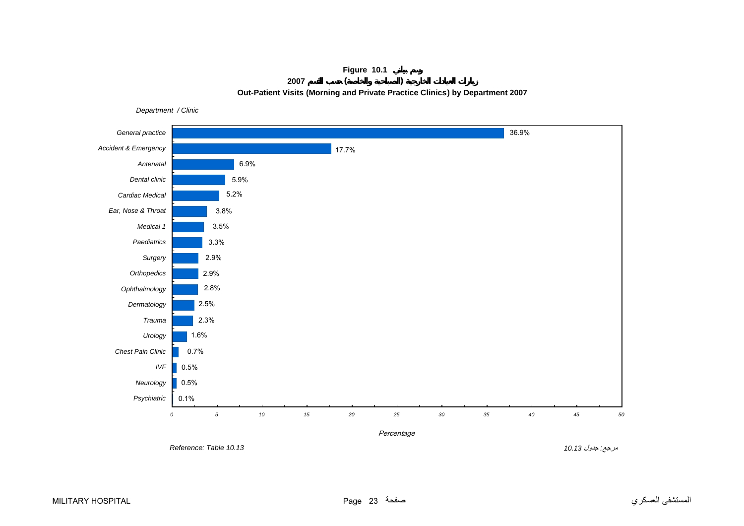### **Figure 10.1 <sup>2007</sup>( ) Out-Patient Visits (Morning and Private Practice Clinics) by Department 2007**

<span id="page-21-0"></span>0.1% 0.5%0.5%0.7%1.6% 2.3%2.5% 2.8%2.9% 2.9% 3.3% 3.5%3.8%5.2%5.9%6.9%17.7%36.9%*0 5 10 15 20 25 30 35 40 45 50*50 *Psychiatric Neurology IVF Chest Pain ClinicUrology TraumaDermatology Ophthalmology Orthopedics Surgery PaediatricsMedical 1Ear, Nose & Throat Cardiac Medical Dental clinic Antenatal Accident & Emergency General practice* Percentage مرجع*:* جدول *10.13 10.13 Table :Reference Department / Clinic*

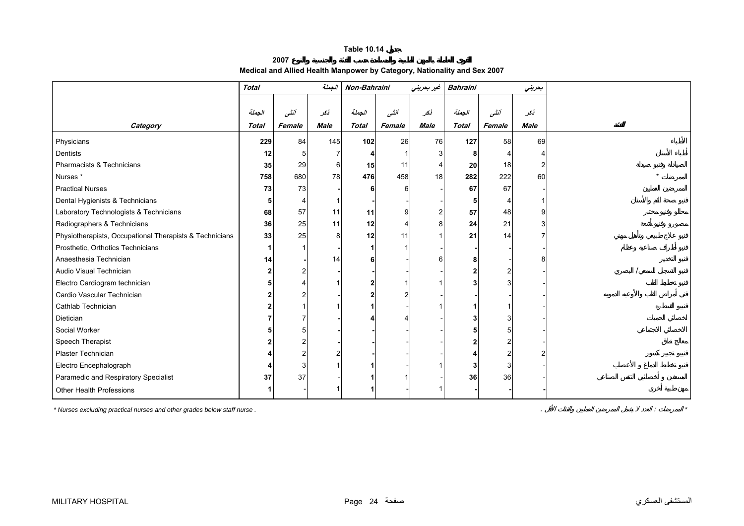### **2007 Medical and Allied Health Manpower by Category, Nationality and Sex 2007**

<span id="page-22-0"></span>

|                                                         | <b>Total</b> |        | الجملة      | Non-Bahraini |        | ا غير بعريني | <b>Bahraini</b> |        | بحريني      |  |
|---------------------------------------------------------|--------------|--------|-------------|--------------|--------|--------------|-----------------|--------|-------------|--|
|                                                         | الجملة       | أنشى   | نكر         | الجملة       | أنشى   | نكر          | الجملة          | أنشى   | نكر         |  |
| Category                                                | <b>Total</b> | Female | <b>Male</b> | <b>Total</b> | Female | Male         | <b>Total</b>    | Female | <b>Male</b> |  |
| Physicians                                              | 229          | 84     | 145         | 102          | 26     | 76           | 127             | 58     | 69          |  |
| Dentists                                                | 12           |        |             |              |        |              |                 |        |             |  |
| Pharmacists & Technicians                               | 35           | 29     | 6           | 15           | 11     |              | 20              | 18     |             |  |
| Nurses*                                                 | 758          | 680    | 78          | 476          | 458    | 18           | 282             | 222    | 60          |  |
| <b>Practical Nurses</b>                                 | 73           | 73     |             |              |        |              | 67              | 67     |             |  |
| Dental Hygienists & Technicians                         |              |        |             |              |        |              |                 |        |             |  |
| Laboratory Technologists & Technicians                  | 68           | 57     | 11          | 11           |        |              | 57              | 48     |             |  |
| Radiographers & Technicians                             | 36           | 25     | 11          | 12           |        |              | 24              | 21     |             |  |
| Physiotherapists, Occupational Therapists & Technicians | 33           | 25     | 8           | 12           | 11     |              | 21              | 14     |             |  |
| Prosthetic, Orthotics Technicians                       |              |        |             |              |        |              |                 |        |             |  |
| Anaesthesia Technician                                  | 14           |        | 14          |              |        |              |                 |        |             |  |
| Audio Visual Technician                                 |              | 2      |             |              |        |              |                 |        |             |  |
| Electro Cardiogram technician                           |              |        |             |              |        |              |                 |        |             |  |
| Cardio Vascular Technician                              |              |        |             |              |        |              |                 |        |             |  |
| Cathlab Technician                                      |              |        |             |              |        |              |                 |        |             |  |
| Dietician                                               |              |        |             |              |        |              |                 |        |             |  |
| Social Worker                                           |              |        |             |              |        |              |                 |        |             |  |
| Speech Therapist                                        |              |        |             |              |        |              |                 |        |             |  |
| Plaster Technician                                      |              |        |             |              |        |              |                 |        |             |  |
| Electro Encephalograph                                  |              | 3      |             |              |        |              |                 |        |             |  |
| Paramedic and Respiratory Specialist                    | 37           | 37     |             |              |        |              | 36              | 36     |             |  |
| Other Health Professions                                |              |        |             |              |        |              |                 |        |             |  |

*\* Nurses excluding practical nurses and other grades below staff nurse .* . : *\**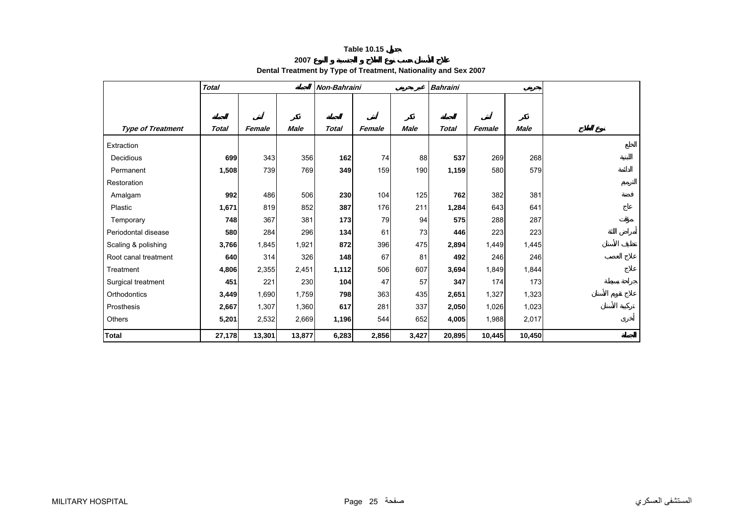**Dental Treatment by Type of Treatment, Nationality and Sex 2007** 

<span id="page-23-0"></span>

|                          | <b>Total</b> |        |             | Non-Bahraini |        |             | <b>Bahraini</b> |        |             |  |  |
|--------------------------|--------------|--------|-------------|--------------|--------|-------------|-----------------|--------|-------------|--|--|
|                          |              |        |             |              |        |             |                 |        |             |  |  |
|                          |              |        |             |              |        |             |                 |        |             |  |  |
| <b>Type of Treatment</b> | Total        | Female | <b>Male</b> | <b>Total</b> | Female | <b>Male</b> | <b>Total</b>    | Female | <b>Male</b> |  |  |
| Extraction               |              |        |             |              |        |             |                 |        |             |  |  |
| <b>Decidious</b>         | 699          | 343    | 356         | 162          | 74     | 88          | 537             | 269    | 268         |  |  |
| Permanent                | 1,508        | 739    | 769         | 349          | 159    | 190         | 1,159           | 580    | 579         |  |  |
| Restoration              |              |        |             |              |        |             |                 |        |             |  |  |
| Amalgam                  | 992          | 486    | 506         | 230          | 104    | 125         | 762             | 382    | 381         |  |  |
| Plastic                  | 1,671        | 819    | 852         | 387          | 176    | 211         | 1,284           | 643    | 641         |  |  |
| Temporary                | 748          | 367    | 381         | 173          | 79     | 94          | 575             | 288    | 287         |  |  |
| Periodontal disease      | 580          | 284    | 296         | 134          | 61     | 73          | 446             | 223    | 223         |  |  |
| Scaling & polishing      | 3,766        | 1,845  | 1,921       | 872          | 396    | 475         | 2,894           | 1,449  | 1,445       |  |  |
| Root canal treatment     | 640          | 314    | 326         | 148          | 67     | 81          | 492             | 246    | 246         |  |  |
| Treatment                | 4,806        | 2,355  | 2,451       | 1,112        | 506    | 607         | 3,694           | 1,849  | 1,844       |  |  |
| Surgical treatment       | 451          | 221    | 230         | 104          | 47     | 57          | 347             | 174    | 173         |  |  |
| Orthodontics             | 3,449        | 1,690  | 1,759       | 798          | 363    | 435         | 2,651           | 1,327  | 1,323       |  |  |
| Prosthesis               | 2,667        | 1,307  | 1,360       | 617          | 281    | 337         | 2,050           | 1,026  | 1,023       |  |  |
| Others                   | 5,201        | 2,532  | 2,669       | 1,196        | 544    | 652         | 4,005           | 1,988  | 2,017       |  |  |
| <b>Total</b>             | 27,178       | 13,301 | 13,877      | 6,283        | 2,856  | 3,427       | 20,895          | 10,445 | 10,450      |  |  |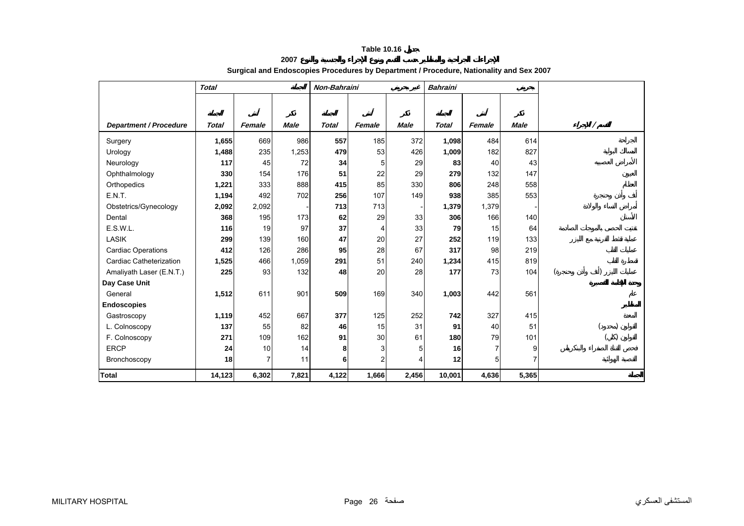**2007**

<span id="page-24-0"></span>

|                               | <b>Total</b> |        |             | Non-Bahraini |                |             | <b>Bahraini</b> |                |             |   |
|-------------------------------|--------------|--------|-------------|--------------|----------------|-------------|-----------------|----------------|-------------|---|
|                               |              |        |             |              |                |             |                 |                |             |   |
|                               |              |        |             |              |                |             |                 |                |             |   |
| <b>Department / Procedure</b> | <b>Total</b> | Female | <b>Male</b> | <b>Total</b> | Female         | <b>Male</b> | <b>Total</b>    | Female         | <b>Male</b> | Ϊ |
| Surgery                       | 1,655        | 669    | 986         | 557          | 185            | 372         | 1,098           | 484            | 614         |   |
| Urology                       | 1,488        | 235    | 1,253       | 479          | 53             | 426         | 1,009           | 182            | 827         |   |
| Neurology                     | 117          | 45     | 72          | 34           | 5              | 29          | 83              | 40             | 43          |   |
| Ophthalmology                 | 330          | 154    | 176         | 51           | 22             | 29          | 279             | 132            | 147         |   |
| Orthopedics                   | 1,221        | 333    | 888         | 415          | 85             | 330         | 806             | 248            | 558         |   |
| E.N.T.                        | 1,194        | 492    | 702         | 256          | 107            | 149         | 938             | 385            | 553         |   |
| Obstetrics/Gynecology         | 2,092        | 2,092  |             | 713          | 713            |             | 1,379           | 1,379          |             |   |
| Dental                        | 368          | 195    | 173         | 62           | 29             | 33          | 306             | 166            | 140         |   |
| E.S.W.L.                      | 116          | 19     | 97          | 37           | 4              | 33          | 79              | 15             | 64          |   |
| LASIK                         | 299          | 139    | 160         | 47           | 20             | 27          | 252             | 119            | 133         |   |
| <b>Cardiac Operations</b>     | 412          | 126    | 286         | 95           | 28             | 67          | 317             | 98             | 219         |   |
| Cardiac Catheterization       | 1,525        | 466    | 1,059       | 291          | 51             | 240         | 1,234           | 415            | 819         |   |
| Amaliyath Laser (E.N.T.)      | 225          | 93     | 132         | 48           | 20             | 28          | 177             | 73             | 104         |   |
| Day Case Unit                 |              |        |             |              |                |             |                 |                |             |   |
| General                       | 1,512        | 611    | 901         | 509          | 169            | 340         | 1,003           | 442            | 561         |   |
| <b>Endoscopies</b>            |              |        |             |              |                |             |                 |                |             |   |
| Gastroscopy                   | 1,119        | 452    | 667         | 377          | 125            | 252         | 742             | 327            | 415         |   |
| L. Colnoscopy                 | 137          | 55     | 82          | 46           | 15             | 31          | 91              | 40             | 51          |   |
| F. Colnoscopy                 | 271          | 109    | 162         | 91           | 30             | 61          | 180             | 79             | 101         |   |
| <b>ERCP</b>                   | 24           | 10     | 14          | 8            | 3              | 5           | 16              | $\overline{7}$ |             |   |
| Bronchoscopy                  | 18           | 7      | 11          | 6            | $\overline{c}$ |             | 12              | 5 <sup>1</sup> |             |   |
| <b>Total</b>                  | 14,123       | 6,302  | 7,821       | 4,122        | 1,666          | 2,456       | 10,001          | 4,636          | 5,365       |   |

### **Surgical and Endoscopies Procedures by Department / Procedure, Nationality and Sex 2007**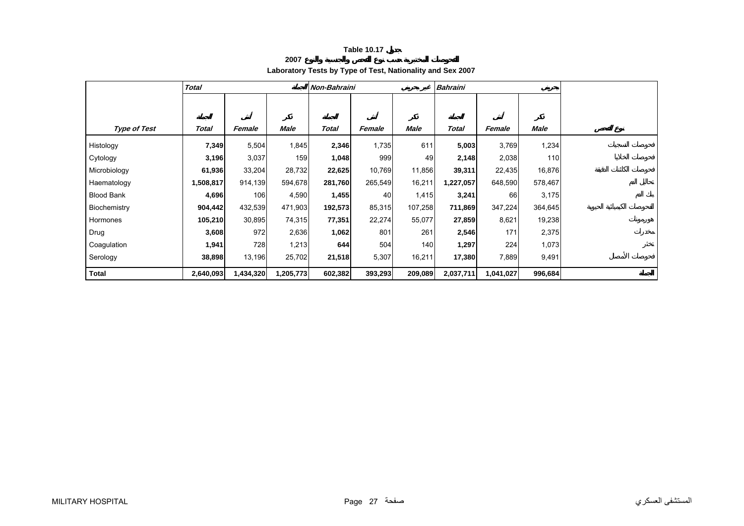**2007**

### **Laboratory Tests by Type of Test, Nationality and Sex 2007**

<span id="page-25-0"></span>

|                     | <b>Total</b> |           |           | Non-Bahraini |         |             | <b>Bahraini</b> |           |         |  |
|---------------------|--------------|-----------|-----------|--------------|---------|-------------|-----------------|-----------|---------|--|
|                     |              |           |           |              |         |             |                 |           |         |  |
|                     |              |           |           |              |         |             |                 |           |         |  |
| <b>Type of Test</b> | Total        | Female    | Male      | Total        | Female  | <b>Male</b> | Total           | Female    | Male    |  |
| Histology           | 7,349        | 5,504     | 1,845     | 2,346        | 1,735   | 611         | 5,003           | 3,769     | 1,234   |  |
| Cytology            | 3,196        | 3,037     | 159       | 1,048        | 999     | 49          | 2,148           | 2,038     | 110     |  |
| Microbiology        | 61,936       | 33,204    | 28,732    | 22,625       | 10,769  | 11,856      | 39,311          | 22,435    | 16,876  |  |
| Haematology         | 1,508,817    | 914,139   | 594,678   | 281,760      | 265,549 | 16,211      | 1,227,057       | 648,590   | 578,467 |  |
| <b>Blood Bank</b>   | 4,696        | 106       | 4,590     | 1,455        | 40      | 1,415       | 3,241           | 66        | 3,175   |  |
| Biochemistry        | 904,442      | 432,539   | 471,903   | 192,573      | 85,315  | 107,258     | 711,869         | 347,224   | 364,645 |  |
| Hormones            | 105,210      | 30,895    | 74,315    | 77,351       | 22,274  | 55,077      | 27,859          | 8,621     | 19,238  |  |
| Drug                | 3,608        | 972       | 2,636     | 1,062        | 801     | 261         | 2,546           | 171       | 2,375   |  |
| Coagulation         | 1,941        | 728       | 1,213     | 644          | 504     | 140         | 1,297           | 224       | 1,073   |  |
| Serology            | 38,898       | 13,196    | 25,702    | 21,518       | 5,307   | 16,211      | 17,380          | 7,889     | 9,491   |  |
| <b>Total</b>        | 2,640,093    | 1,434,320 | 1,205,773 | 602,382      | 393,293 | 209,089     | 2,037,711       | 1,041,027 | 996,684 |  |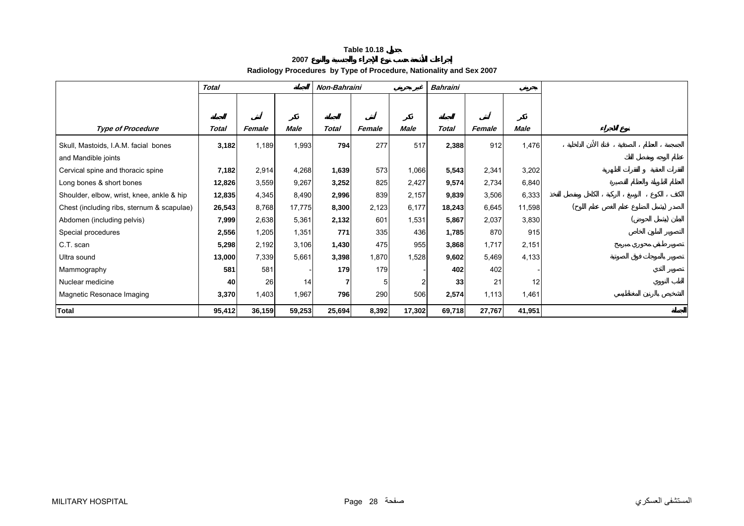#### **2007**

### **Radiology Procedures by Type of Procedure, Nationality and Sex 2007**

<span id="page-26-0"></span>

|                                            | <b>Total</b> |        |        | Non-Bahraini |        |             | <b>Bahraini</b> |        |             |  |  |  |
|--------------------------------------------|--------------|--------|--------|--------------|--------|-------------|-----------------|--------|-------------|--|--|--|
|                                            |              |        |        |              |        |             |                 |        |             |  |  |  |
|                                            |              |        |        |              |        |             |                 |        |             |  |  |  |
| <b>Type of Procedure</b>                   | <b>Total</b> | Female | Male   | <b>Total</b> | Female | <b>Male</b> | <b>Total</b>    | Female | <b>Male</b> |  |  |  |
| Skull, Mastoids, I.A.M. facial bones       | 3,182        | 1,189  | 1,993  | 794          | 277    | 517         | 2,388           | 912    | 1,476       |  |  |  |
| and Mandible joints                        |              |        |        |              |        |             |                 |        |             |  |  |  |
| Cervical spine and thoracic spine          | 7,182        | 2,914  | 4,268  | 1,639        | 573    | 1,066       | 5,543           | 2,341  | 3,202       |  |  |  |
| Long bones & short bones                   | 12,826       | 3,559  | 9,267  | 3,252        | 825    | 2,427       | 9,574           | 2,734  | 6,840       |  |  |  |
| Shoulder, elbow, wrist, knee, ankle & hip  | 12,835       | 4,345  | 8,490  | 2,996        | 839    | 2,157       | 9,839           | 3,506  | 6,333       |  |  |  |
| Chest (including ribs, sternum & scapulae) | 26,543       | 8,768  | 17,775 | 8,300        | 2,123  | 6,177       | 18,243          | 6,645  | 11,598      |  |  |  |
| Abdomen (including pelvis)                 | 7,999        | 2,638  | 5,361  | 2,132        | 601    | 1,531       | 5,867           | 2,037  | 3,830       |  |  |  |
| Special procedures                         | 2,556        | 1,205  | 1,351  | 771          | 335    | 436         | 1,785           | 870    | 915         |  |  |  |
| C.T. scan                                  | 5,298        | 2,192  | 3,106  | 1,430        | 475    | 955         | 3,868           | 1,717  | 2,151       |  |  |  |
| Ultra sound                                | 13,000       | 7,339  | 5,661  | 3,398        | 1,870  | 1,528       | 9,602           | 5,469  | 4,133       |  |  |  |
| Mammography                                | 581          | 581    |        | 179          | 179    |             | 402             | 402    |             |  |  |  |
| Nuclear medicine                           | 40           | 26     | 14     |              | 5      |             | 33              | 21     | 12          |  |  |  |
| Magnetic Resonace Imaging                  | 3,370        | 1,403  | 1,967  | 796          | 290    | 506         | 2,574           | 1,113  | 1,461       |  |  |  |
| <b>Total</b>                               | 95,412       | 36,159 | 59,253 | 25,694       | 8,392  | 17,302      | 69,718          | 27,767 | 41,951      |  |  |  |